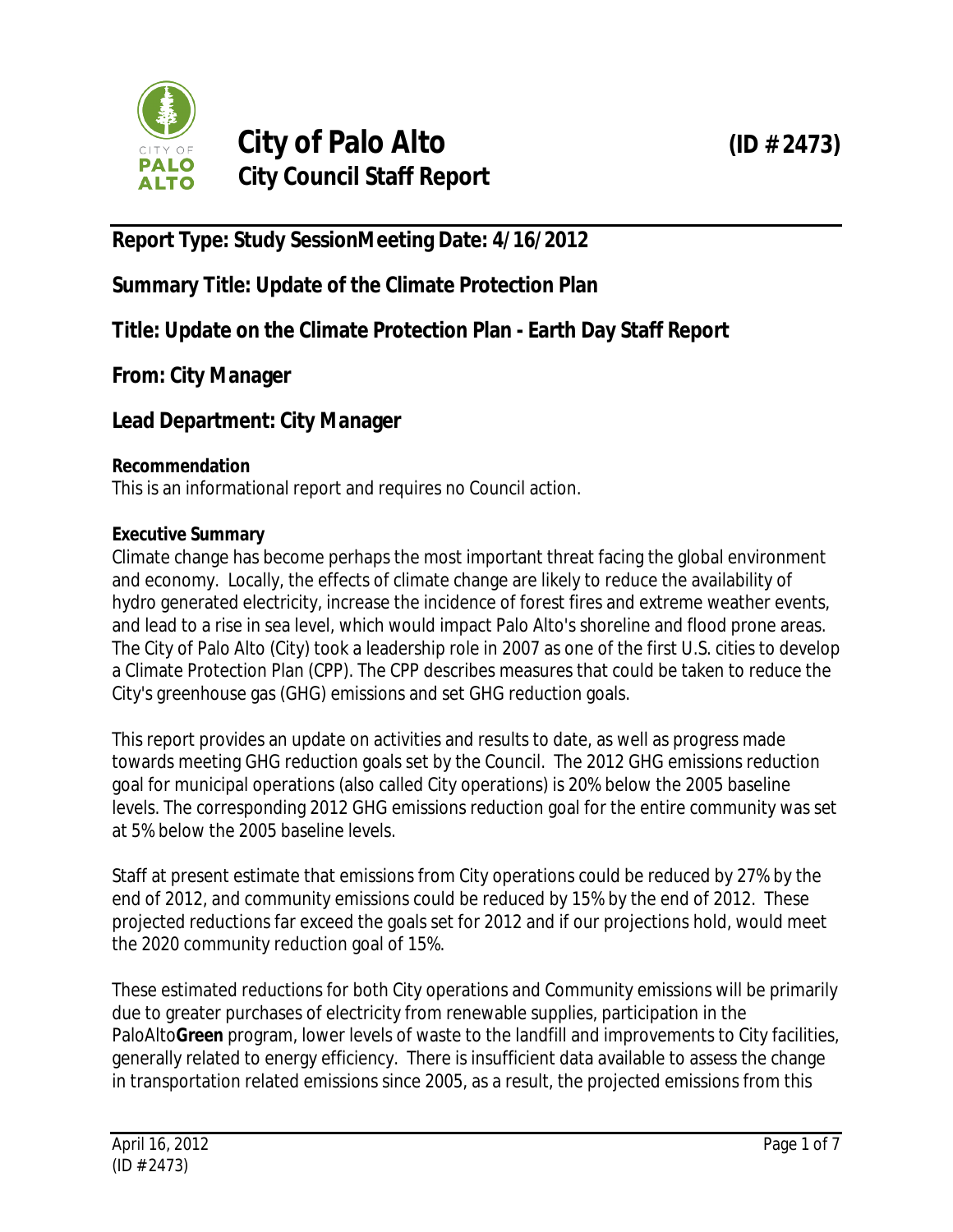

# **City of Palo Alto (ID # 2473) City Council Staff Report**

# **Report Type: Study SessionMeeting Date: 4/16/2012**

**Summary Title: Update of the Climate Protection Plan**

**Title: Update on the Climate Protection Plan - Earth Day Staff Report**

**From: City Manager**

**Lead Department: City Manager**

# **Recommendation**

This is an informational report and requires no Council action.

# **Executive Summary**

Climate change has become perhaps the most important threat facing the global environment and economy. Locally, the effects of climate change are likely to reduce the availability of hydro generated electricity, increase the incidence of forest fires and extreme weather events, and lead to a rise in sea level, which would impact Palo Alto's shoreline and flood prone areas. The City of Palo Alto (City) took a leadership role in 2007 as one of the first U.S. cities to develop a Climate Protection Plan (CPP). The CPP describes measures that could be taken to reduce the City's greenhouse gas (GHG) emissions and set GHG reduction goals.

This report provides an update on activities and results to date, as well as progress made towards meeting GHG reduction goals set by the Council. The 2012 GHG emissions reduction goal for municipal operations (also called City operations) is 20% below the 2005 baseline levels. The corresponding 2012 GHG emissions reduction goal for the entire community was set at 5% below the 2005 baseline levels.

Staff at present estimate that emissions from City operations could be reduced by 27% by the end of 2012, and community emissions could be reduced by 15% by the end of 2012. These projected reductions far exceed the goals set for 2012 and if our projections hold, would meet the 2020 community reduction goal of 15%.

These estimated reductions for both City operations and Community emissions will be primarily due to greater purchases of electricity from renewable supplies, participation in the PaloAlto**Green** program, lower levels of waste to the landfill and improvements to City facilities, generally related to energy efficiency. There is insufficient data available to assess the change in transportation related emissions since 2005, as a result, the projected emissions from this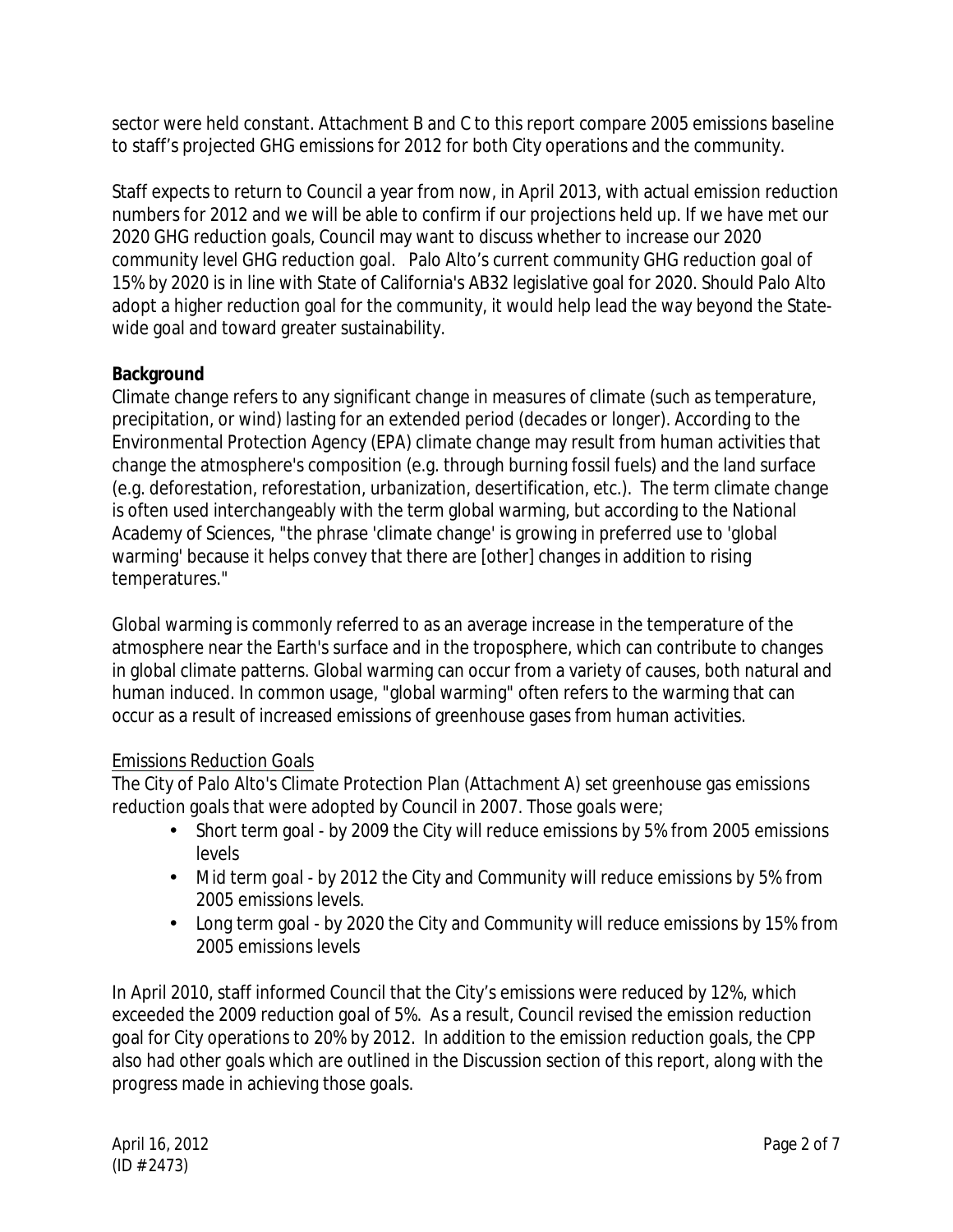sector were held constant. Attachment B and C to this report compare 2005 emissions baseline to staff's projected GHG emissions for 2012 for both City operations and the community.

Staff expects to return to Council a year from now, in April 2013, with actual emission reduction numbers for 2012 and we will be able to confirm if our projections held up. If we have met our 2020 GHG reduction goals, Council may want to discuss whether to increase our 2020 community level GHG reduction goal. Palo Alto's current community GHG reduction goal of 15% by 2020 is in line with State of California's AB32 legislative goal for 2020. Should Palo Alto adopt a higher reduction goal for the community, it would help lead the way beyond the Statewide goal and toward greater sustainability.

# **Background**

Climate change refers to any significant change in measures of climate (such as temperature, precipitation, or wind) lasting for an extended period (decades or longer). According to the Environmental Protection Agency (EPA) climate change may result from human activities that change the atmosphere's composition (e.g. through burning fossil fuels) and the land surface (e.g. deforestation, reforestation, urbanization, desertification, etc.). The term climate change is often used interchangeably with the term global warming, but according to the National Academy of Sciences, "the phrase 'climate change' is growing in preferred use to 'global warming' because it helps convey that there are [other] changes in addition to rising temperatures."

Global warming is commonly referred to as an average increase in the temperature of the atmosphere near the Earth's surface and in the troposphere, which can contribute to changes in global climate patterns. Global warming can occur from a variety of causes, both natural and human induced. In common usage, "global warming" often refers to the warming that can occur as a result of increased emissions of greenhouse gases from human activities.

# Emissions Reduction Goals

The City of Palo Alto's Climate Protection Plan (Attachment A) set greenhouse gas emissions reduction goals that were adopted by Council in 2007. Those goals were;

- Short term goal by 2009 the City will reduce emissions by 5% from 2005 emissions levels
- Mid term goal by 2012 the City and Community will reduce emissions by 5% from 2005 emissions levels.
- Long term goal by 2020 the City and Community will reduce emissions by 15% from 2005 emissions levels

In April 2010, staff informed Council that the City's emissions were reduced by 12%, which exceeded the 2009 reduction goal of 5%. As a result, Council revised the emission reduction goal for City operations to 20% by 2012. In addition to the emission reduction goals, the CPP also had other goals which are outlined in the Discussion section of this report, along with the progress made in achieving those goals.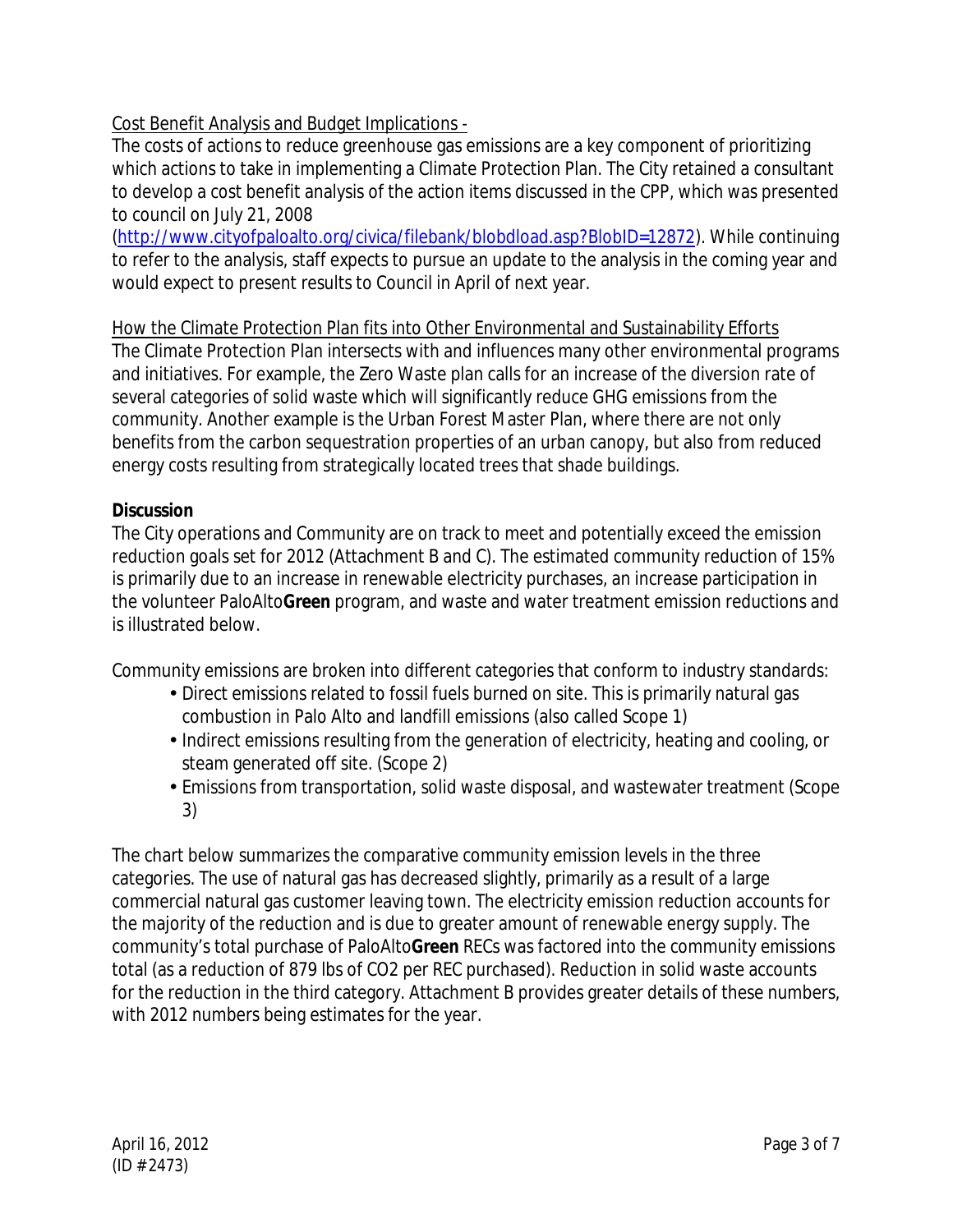# Cost Benefit Analysis and Budget Implications -

The costs of actions to reduce greenhouse gas emissions are a key component of prioritizing which actions to take in implementing a Climate Protection Plan. The City retained a consultant to develop a cost benefit analysis of the action items discussed in the CPP, which was presented to council on July 21, 2008

(http://www.cityofpaloalto.org/civica/filebank/blobdload.asp?BlobID=12872). While continuing to refer to the analysis, staff expects to pursue an update to the analysis in the coming year and would expect to present results to Council in April of next year.

# How the Climate Protection Plan fits into Other Environmental and Sustainability Efforts

The Climate Protection Plan intersects with and influences many other environmental programs and initiatives. For example, the Zero Waste plan calls for an increase of the diversion rate of several categories of solid waste which will significantly reduce GHG emissions from the community. Another example is the Urban Forest Master Plan, where there are not only benefits from the carbon sequestration properties of an urban canopy, but also from reduced energy costs resulting from strategically located trees that shade buildings.

# **Discussion**

The City operations and Community are on track to meet and potentially exceed the emission reduction goals set for 2012 (Attachment B and C). The estimated community reduction of 15% is primarily due to an increase in renewable electricity purchases, an increase participation in the volunteer PaloAlto**Green** program, and waste and water treatment emission reductions and is illustrated below.

Community emissions are broken into different categories that conform to industry standards:

- Direct emissions related to fossil fuels burned on site. This is primarily natural gas combustion in Palo Alto and landfill emissions (also called Scope 1)
- Indirect emissions resulting from the generation of electricity, heating and cooling, or steam generated off site. (Scope 2)
- Emissions from transportation, solid waste disposal, and wastewater treatment (Scope 3)

The chart below summarizes the comparative community emission levels in the three categories. The use of natural gas has decreased slightly, primarily as a result of a large commercial natural gas customer leaving town. The electricity emission reduction accounts for the majority of the reduction and is due to greater amount of renewable energy supply. The community's total purchase of PaloAlto**Green** RECs was factored into the community emissions total (as a reduction of 879 lbs of CO2 per REC purchased). Reduction in solid waste accounts for the reduction in the third category. Attachment B provides greater details of these numbers, with 2012 numbers being estimates for the year.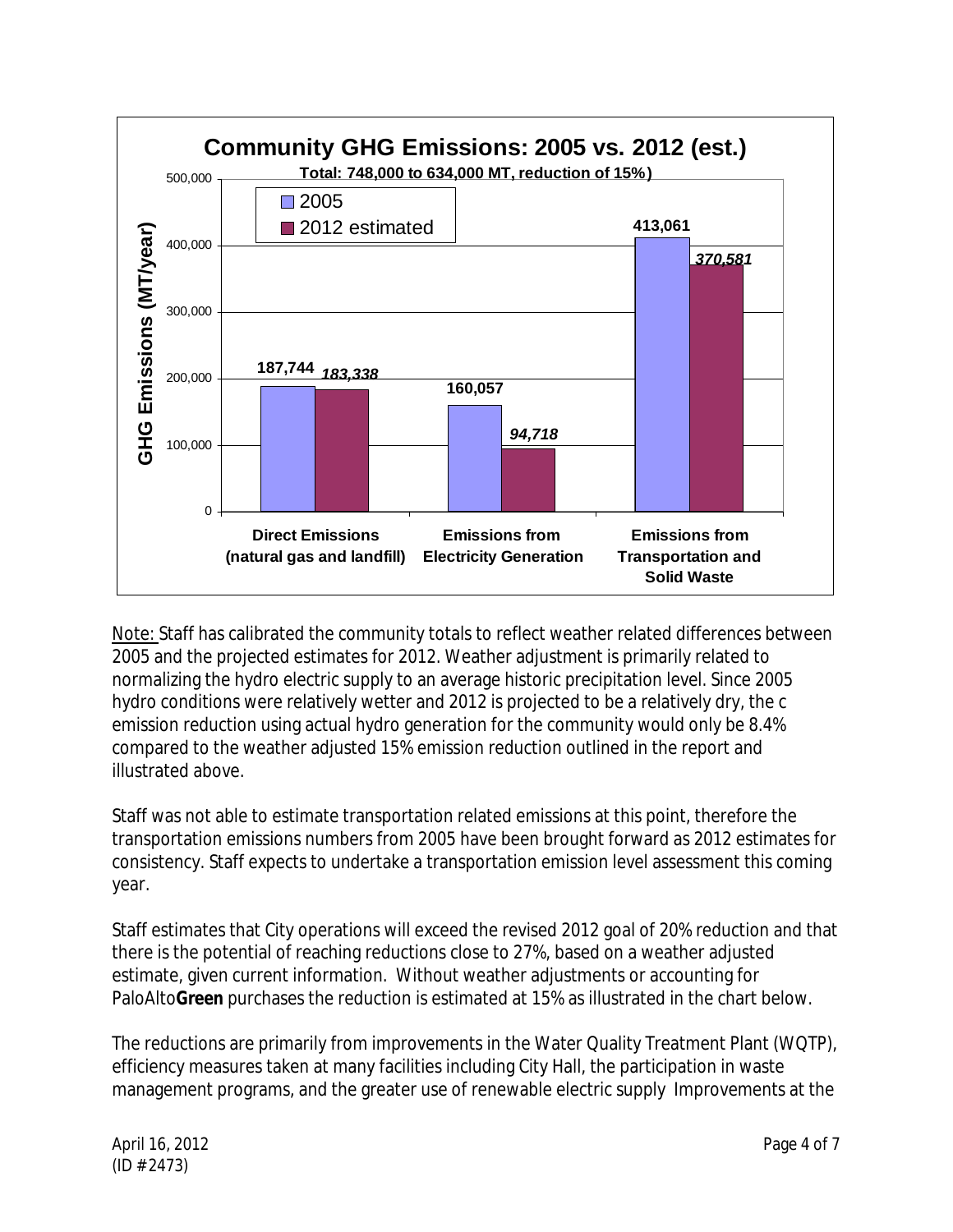

Note: Staff has calibrated the community totals to reflect weather related differences between 2005 and the projected estimates for 2012. Weather adjustment is primarily related to normalizing the hydro electric supply to an average historic precipitation level. Since 2005 hydro conditions were relatively wetter and 2012 is projected to be a relatively dry, the c emission reduction using actual hydro generation for the community would only be 8.4% compared to the weather adjusted 15% emission reduction outlined in the report and illustrated above.

Staff was not able to estimate transportation related emissions at this point, therefore the transportation emissions numbers from 2005 have been brought forward as 2012 estimates for consistency. Staff expects to undertake a transportation emission level assessment this coming year.

Staff estimates that City operations will exceed the revised 2012 goal of 20% reduction and that there is the potential of reaching reductions close to 27%, based on a weather adjusted estimate, given current information. Without weather adjustments or accounting for PaloAlto**Green** purchases the reduction is estimated at 15% as illustrated in the chart below.

The reductions are primarily from improvements in the Water Quality Treatment Plant (WQTP), efficiency measures taken at many facilities including City Hall, the participation in waste management programs, and the greater use of renewable electric supply Improvements at the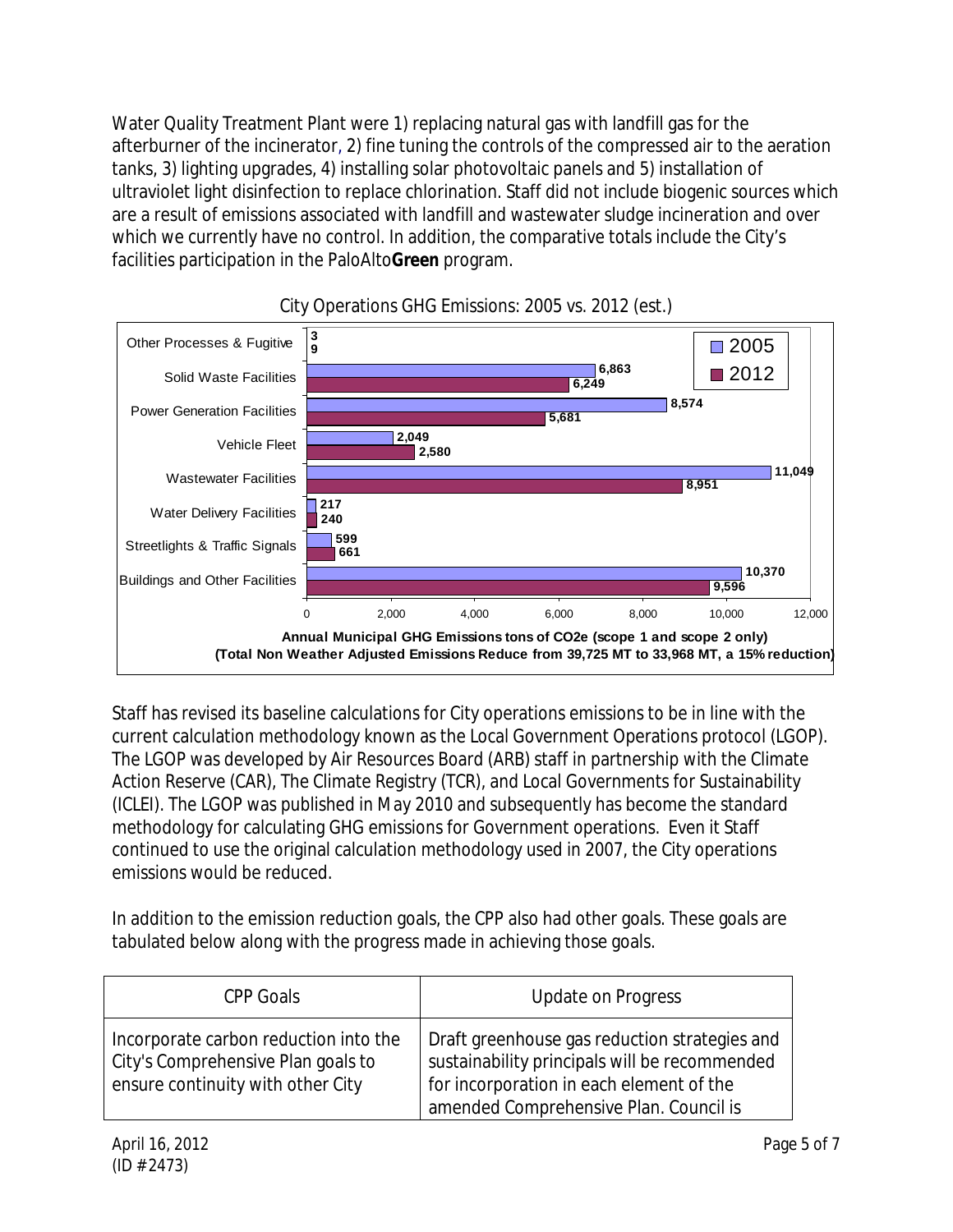Water Quality Treatment Plant were 1) replacing natural gas with landfill gas for the afterburner of the incinerator, 2) fine tuning the controls of the compressed air to the aeration tanks, 3) lighting upgrades, 4) installing solar photovoltaic panels and 5) installation of ultraviolet light disinfection to replace chlorination. Staff did not include biogenic sources which are a result of emissions associated with landfill and wastewater sludge incineration and over which we currently have no control. In addition, the comparative totals include the City's facilities participation in the PaloAlto**Green** program.



City Operations GHG Emissions: 2005 vs. 2012 (est.)

Staff has revised its baseline calculations for City operations emissions to be in line with the current calculation methodology known as the Local Government Operations protocol (LGOP). The LGOP was developed by Air Resources Board (ARB) staff in partnership with the Climate Action Reserve (CAR), The Climate Registry (TCR), and Local Governments for Sustainability (ICLEI). The LGOP was published in May 2010 and subsequently has become the standard methodology for calculating GHG emissions for Government operations. Even it Staff continued to use the original calculation methodology used in 2007, the City operations emissions would be reduced.

In addition to the emission reduction goals, the CPP also had other goals. These goals are tabulated below along with the progress made in achieving those goals.

| CPP Goals                                                                                                        | <b>Update on Progress</b>                                                                                                                                                            |
|------------------------------------------------------------------------------------------------------------------|--------------------------------------------------------------------------------------------------------------------------------------------------------------------------------------|
| Incorporate carbon reduction into the<br>City's Comprehensive Plan goals to<br>ensure continuity with other City | Draft greenhouse gas reduction strategies and<br>sustainability principals will be recommended<br>for incorporation in each element of the<br>amended Comprehensive Plan. Council is |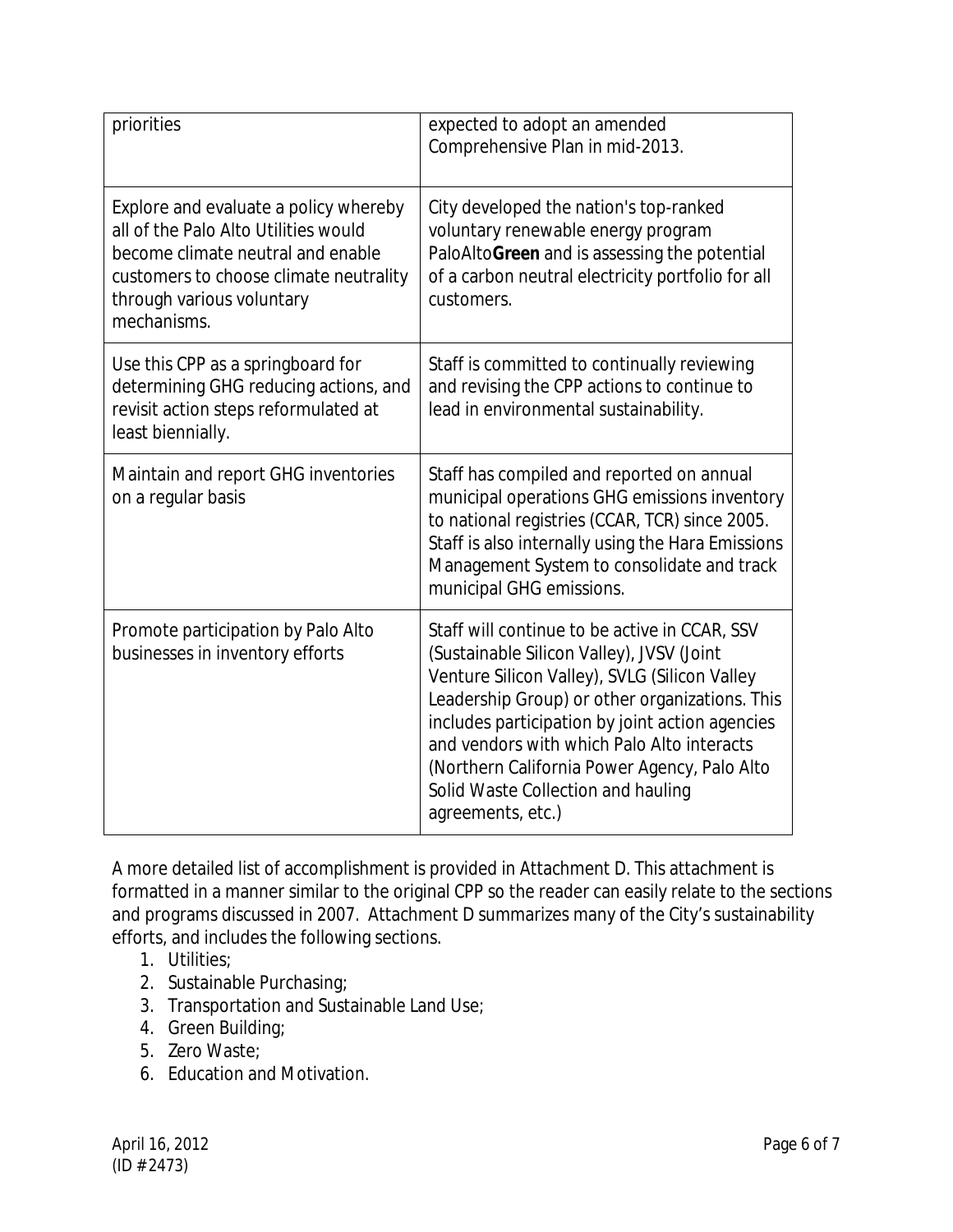| priorities                                                                                                                                                                                               | expected to adopt an amended<br>Comprehensive Plan in mid-2013.                                                                                                                                                                                                                                                                                                                                           |
|----------------------------------------------------------------------------------------------------------------------------------------------------------------------------------------------------------|-----------------------------------------------------------------------------------------------------------------------------------------------------------------------------------------------------------------------------------------------------------------------------------------------------------------------------------------------------------------------------------------------------------|
| Explore and evaluate a policy whereby<br>all of the Palo Alto Utilities would<br>become climate neutral and enable<br>customers to choose climate neutrality<br>through various voluntary<br>mechanisms. | City developed the nation's top-ranked<br>voluntary renewable energy program<br>PaloAltoGreen and is assessing the potential<br>of a carbon neutral electricity portfolio for all<br>customers.                                                                                                                                                                                                           |
| Use this CPP as a springboard for<br>determining GHG reducing actions, and<br>revisit action steps reformulated at<br>least biennially.                                                                  | Staff is committed to continually reviewing<br>and revising the CPP actions to continue to<br>lead in environmental sustainability.                                                                                                                                                                                                                                                                       |
| Maintain and report GHG inventories<br>on a regular basis                                                                                                                                                | Staff has compiled and reported on annual<br>municipal operations GHG emissions inventory<br>to national registries (CCAR, TCR) since 2005.<br>Staff is also internally using the Hara Emissions<br>Management System to consolidate and track<br>municipal GHG emissions.                                                                                                                                |
| Promote participation by Palo Alto<br>businesses in inventory efforts                                                                                                                                    | Staff will continue to be active in CCAR, SSV<br>(Sustainable Silicon Valley), JVSV (Joint<br>Venture Silicon Valley), SVLG (Silicon Valley<br>Leadership Group) or other organizations. This<br>includes participation by joint action agencies<br>and vendors with which Palo Alto interacts<br>(Northern California Power Agency, Palo Alto<br>Solid Waste Collection and hauling<br>agreements, etc.) |

A more detailed list of accomplishment is provided in Attachment D. This attachment is formatted in a manner similar to the original CPP so the reader can easily relate to the sections and programs discussed in 2007. Attachment D summarizes many of the City's sustainability efforts, and includes the following sections.

- 1. Utilities;
- 2. Sustainable Purchasing;
- 3. Transportation and Sustainable Land Use;
- 4. Green Building;
- 5. Zero Waste;
- 6. Education and Motivation.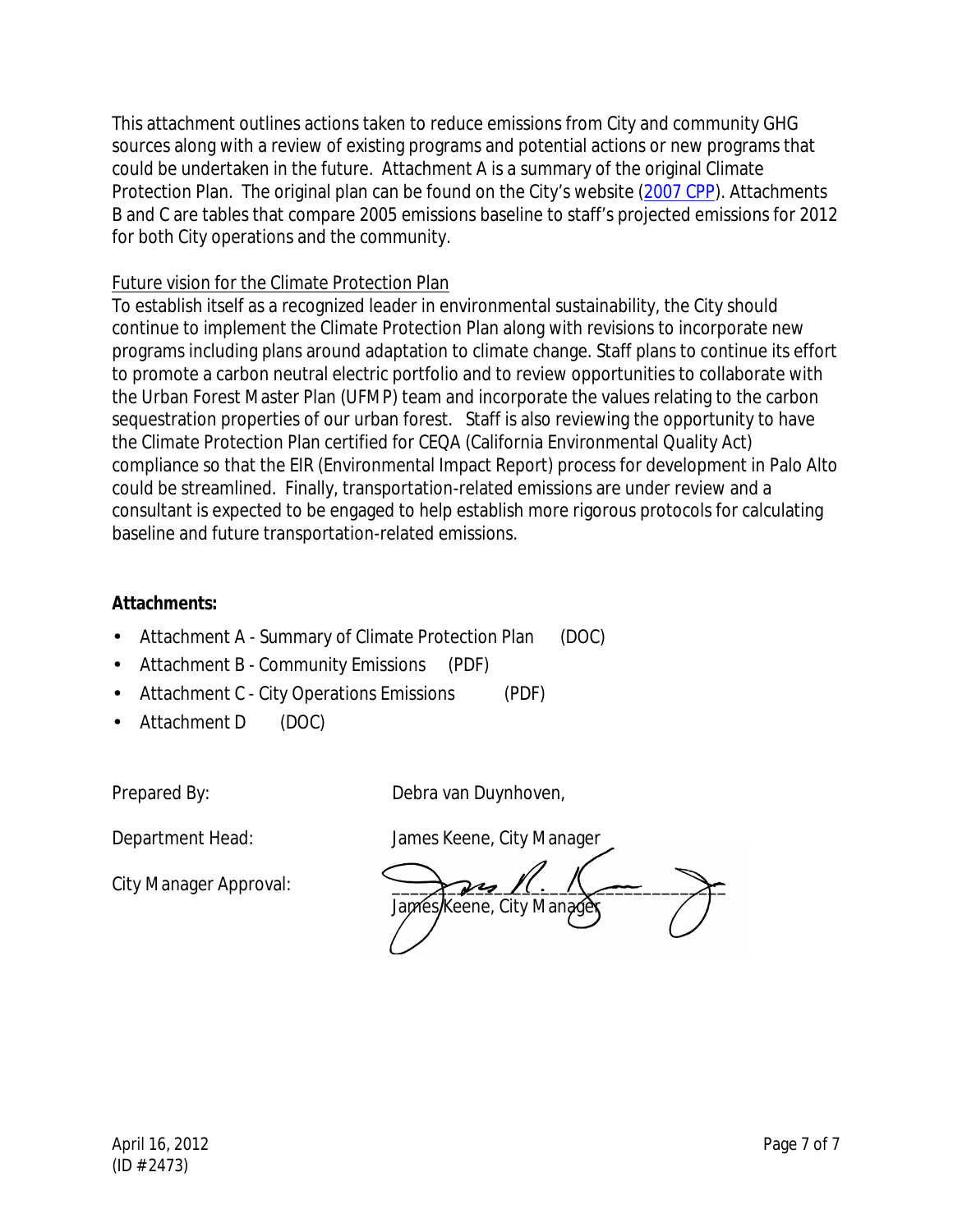This attachment outlines actions taken to reduce emissions from City and community GHG sources along with a review of existing programs and potential actions or new programs that could be undertaken in the future. Attachment A is a summary of the original Climate Protection Plan. The original plan can be found on the City's website (2007 CPP). Attachments B and C are tables that compare 2005 emissions baseline to staff's projected emissions for 2012 for both City operations and the community.

# Future vision for the Climate Protection Plan

To establish itself as a recognized leader in environmental sustainability, the City should continue to implement the Climate Protection Plan along with revisions to incorporate new programs including plans around adaptation to climate change. Staff plans to continue its effort to promote a carbon neutral electric portfolio and to review opportunities to collaborate with the Urban Forest Master Plan (UFMP) team and incorporate the values relating to the carbon sequestration properties of our urban forest. Staff is also reviewing the opportunity to have the Climate Protection Plan certified for CEQA (California Environmental Quality Act) compliance so that the EIR (Environmental Impact Report) process for development in Palo Alto could be streamlined. Finally, transportation-related emissions are under review and a consultant is expected to be engaged to help establish more rigorous protocols for calculating baseline and future transportation-related emissions.

# **Attachments:**

- Attachment A Summary of Climate Protection Plan (DOC)
- Attachment B Community Emissions (PDF)
- Attachment C City Operations Emissions (PDF)
- Attachment D (DOC)

Prepared By: Debra van Duynhoven,

City Manager Approval:

Department Head: James Keene, City Manager

Japres/Keene, City Manad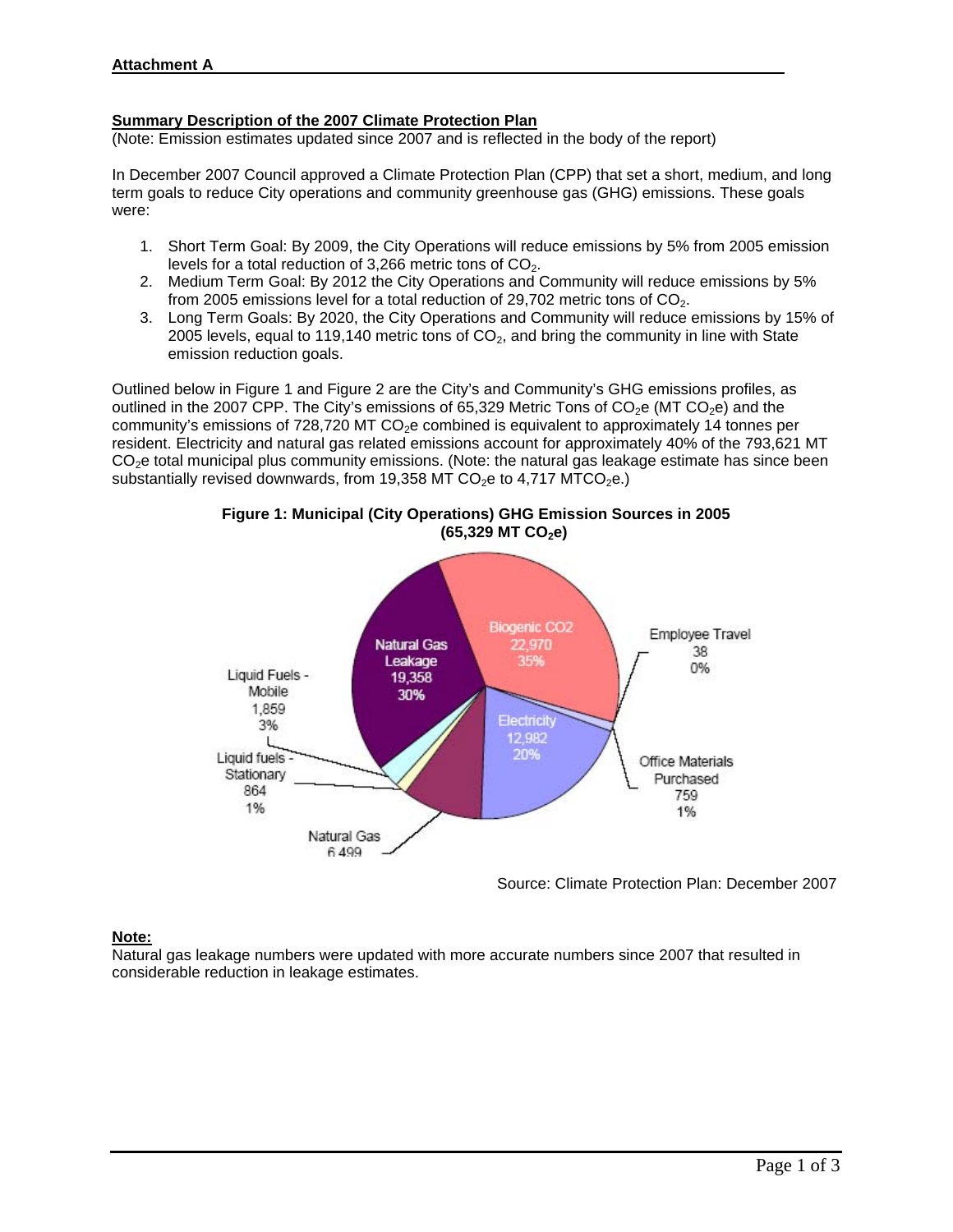#### **Summary Description of the 2007 Climate Protection Plan**

(Note: Emission estimates updated since 2007 and is reflected in the body of the report)

In December 2007 Council approved a Climate Protection Plan (CPP) that set a short, medium, and long term goals to reduce City operations and community greenhouse gas (GHG) emissions. These goals were:

- 1. Short Term Goal: By 2009, the City Operations will reduce emissions by 5% from 2005 emission levels for a total reduction of 3,266 metric tons of  $CO<sub>2</sub>$ .
- 2. Medium Term Goal: By 2012 the City Operations and Community will reduce emissions by 5% from 2005 emissions level for a total reduction of 29,702 metric tons of  $CO<sub>2</sub>$ .
- 3. Long Term Goals: By 2020, the City Operations and Community will reduce emissions by 15% of 2005 levels, equal to 119,140 metric tons of  $CO<sub>2</sub>$ , and bring the community in line with State emission reduction goals.

Outlined below in Figure 1 and Figure 2 are the City's and Community's GHG emissions profiles, as outlined in the 2007 CPP. The City's emissions of 65,329 Metric Tons of  $CO<sub>2</sub>e$  (MT  $CO<sub>2</sub>e$ ) and the community's emissions of 728,720 MT  $CO<sub>2</sub>e$  combined is equivalent to approximately 14 tonnes per resident. Electricity and natural gas related emissions account for approximately 40% of the 793,621 MT CO<sub>2</sub>e total municipal plus community emissions. (Note: the natural gas leakage estimate has since been substantially revised downwards, from 19,358 MT CO<sub>2</sub>e to 4,717 MTCO<sub>2</sub>e.)





Source: Climate Protection Plan: December 2007

#### **Note:**

Natural gas leakage numbers were updated with more accurate numbers since 2007 that resulted in considerable reduction in leakage estimates.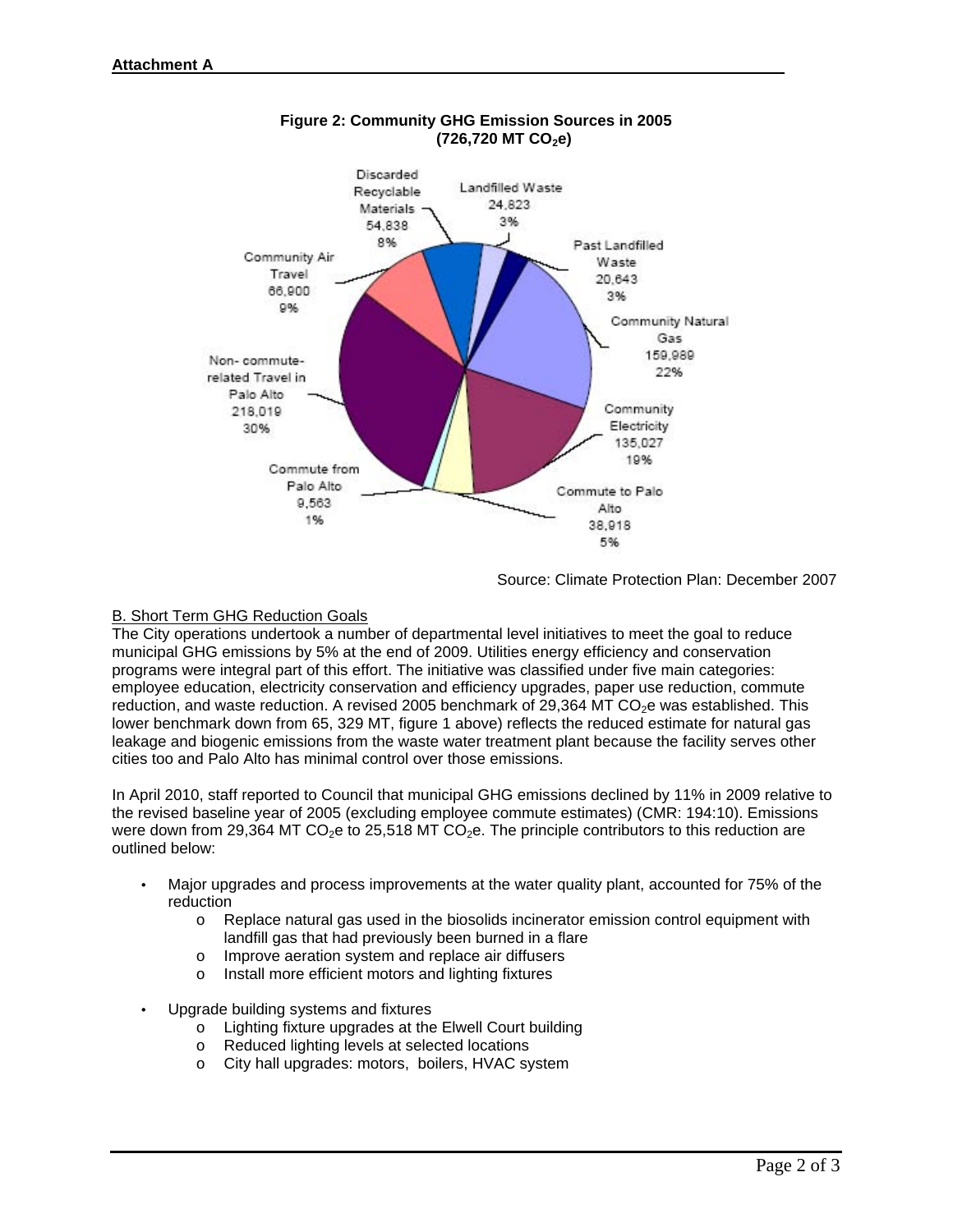

## **Figure 2: Community GHG Emission Sources in 2005 (726,720 MT CO2e)**

Source: Climate Protection Plan: December 2007

## B. Short Term GHG Reduction Goals

The City operations undertook a number of departmental level initiatives to meet the goal to reduce municipal GHG emissions by 5% at the end of 2009. Utilities energy efficiency and conservation programs were integral part of this effort. The initiative was classified under five main categories: employee education, electricity conservation and efficiency upgrades, paper use reduction, commute reduction, and waste reduction. A revised 2005 benchmark of 29,364 MT  $CO<sub>2</sub>$ e was established. This lower benchmark down from 65, 329 MT, figure 1 above) reflects the reduced estimate for natural gas leakage and biogenic emissions from the waste water treatment plant because the facility serves other cities too and Palo Alto has minimal control over those emissions.

In April 2010, staff reported to Council that municipal GHG emissions declined by 11% in 2009 relative to the revised baseline year of 2005 (excluding employee commute estimates) (CMR: 194:10). Emissions were down from 29,364 MT CO<sub>2</sub>e to 25,518 MT CO<sub>2</sub>e. The principle contributors to this reduction are outlined below:

- Major upgrades and process improvements at the water quality plant, accounted for 75% of the reduction
	- $\circ$  Replace natural gas used in the biosolids incinerator emission control equipment with landfill gas that had previously been burned in a flare
	- o Improve aeration system and replace air diffusers
	- o Install more efficient motors and lighting fixtures
- Upgrade building systems and fixtures
	- o Lighting fixture upgrades at the Elwell Court building
	- o Reduced lighting levels at selected locations
	- o City hall upgrades: motors, boilers, HVAC system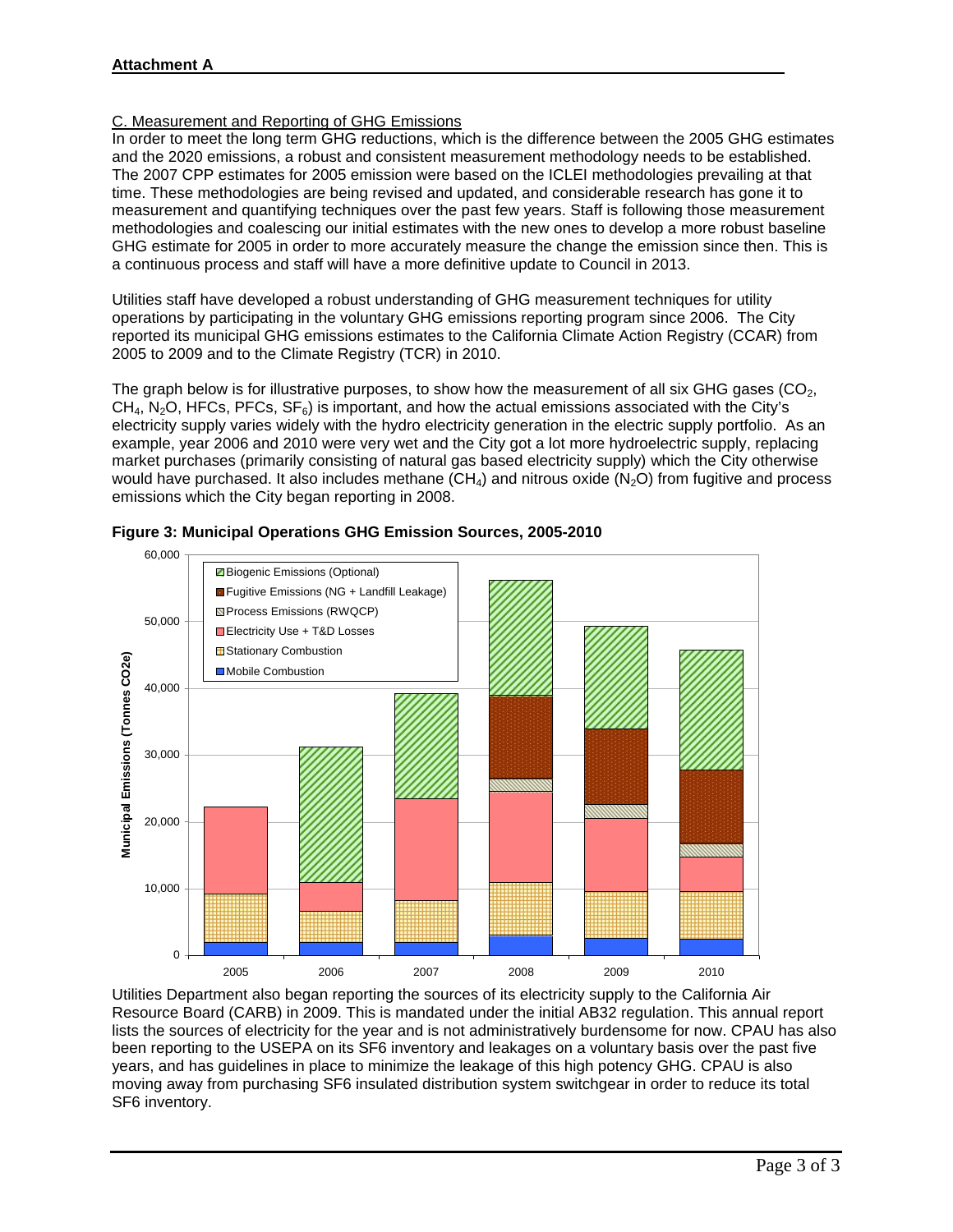#### C. Measurement and Reporting of GHG Emissions

In order to meet the long term GHG reductions, which is the difference between the 2005 GHG estimates and the 2020 emissions, a robust and consistent measurement methodology needs to be established. The 2007 CPP estimates for 2005 emission were based on the ICLEI methodologies prevailing at that time. These methodologies are being revised and updated, and considerable research has gone it to measurement and quantifying techniques over the past few years. Staff is following those measurement methodologies and coalescing our initial estimates with the new ones to develop a more robust baseline GHG estimate for 2005 in order to more accurately measure the change the emission since then. This is a continuous process and staff will have a more definitive update to Council in 2013.

Utilities staff have developed a robust understanding of GHG measurement techniques for utility operations by participating in the voluntary GHG emissions reporting program since 2006. The City reported its municipal GHG emissions estimates to the California Climate Action Registry (CCAR) from 2005 to 2009 and to the Climate Registry (TCR) in 2010.

The graph below is for illustrative purposes, to show how the measurement of all six GHG gases ( $CO<sub>2</sub>$ ,  $CH<sub>4</sub>$ , N<sub>2</sub>O, HFCs, PFCs, SF<sub>6</sub>) is important, and how the actual emissions associated with the City's electricity supply varies widely with the hydro electricity generation in the electric supply portfolio. As an example, year 2006 and 2010 were very wet and the City got a lot more hydroelectric supply, replacing market purchases (primarily consisting of natural gas based electricity supply) which the City otherwise would have purchased. It also includes methane  $(CH_4)$  and nitrous oxide  $(N_2O)$  from fugitive and process emissions which the City began reporting in 2008.



#### **Figure 3: Municipal Operations GHG Emission Sources, 2005-2010**

Utilities Department also began reporting the sources of its electricity supply to the California Air Resource Board (CARB) in 2009. This is mandated under the initial AB32 regulation. This annual report lists the sources of electricity for the year and is not administratively burdensome for now. CPAU has also been reporting to the USEPA on its SF6 inventory and leakages on a voluntary basis over the past five years, and has guidelines in place to minimize the leakage of this high potency GHG. CPAU is also moving away from purchasing SF6 insulated distribution system switchgear in order to reduce its total SF6 inventory.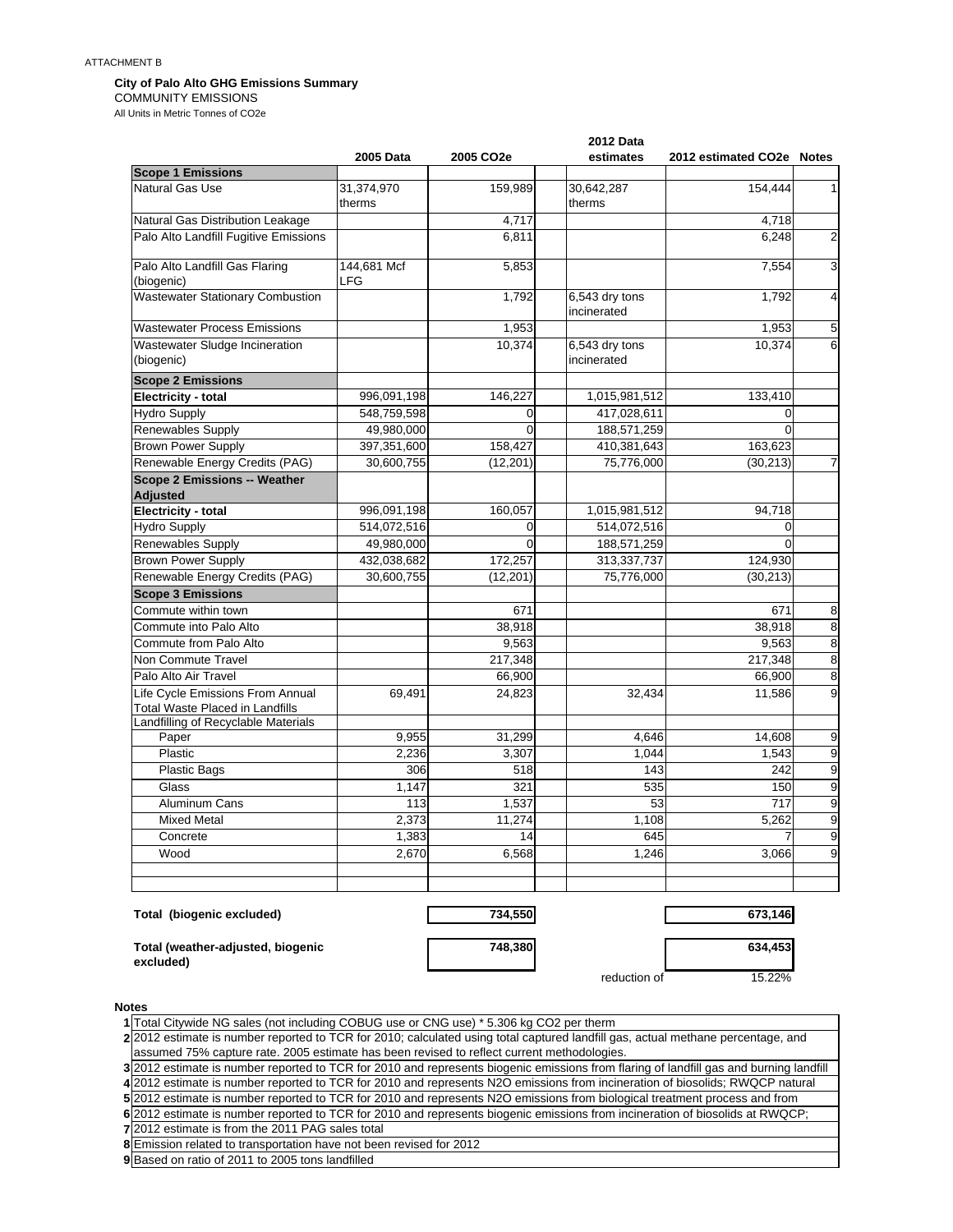#### **City of Palo Alto GHG Emissions Summary**

COMMUNITY EMISSIONS

All Units in Metric Tonnes of CO2e

|                                                                            |                      | <b>2012 Data</b>      |                               |                           |                         |
|----------------------------------------------------------------------------|----------------------|-----------------------|-------------------------------|---------------------------|-------------------------|
|                                                                            | 2005 Data            | 2005 CO <sub>2e</sub> | estimates                     | 2012 estimated CO2e Notes |                         |
| <b>Scope 1 Emissions</b>                                                   |                      |                       |                               |                           |                         |
| Natural Gas Use                                                            | 31,374,970<br>therms | 159,989               | 30,642,287<br>therms          | 154,444                   | 1                       |
| Natural Gas Distribution Leakage                                           |                      | 4,717                 |                               | 4,718                     |                         |
| Palo Alto Landfill Fugitive Emissions                                      |                      | 6,811                 |                               | 6,248                     | $\overline{2}$          |
| Palo Alto Landfill Gas Flaring<br>(biogenic)                               | 144,681 Mcf<br>LFG   | 5,853                 |                               | 7,554                     | 3                       |
| <b>Wastewater Stationary Combustion</b>                                    |                      | 1,792                 | 6,543 dry tons<br>incinerated | 1,792                     | 4                       |
| Wastewater Process Emissions                                               |                      | 1,953                 |                               | 1,953                     | 5                       |
| Wastewater Sludge Incineration<br>(biogenic)                               |                      | 10,374                | 6,543 dry tons<br>incinerated | 10,374                    | 6                       |
| <b>Scope 2 Emissions</b>                                                   |                      |                       |                               |                           |                         |
| Electricity - total                                                        | 996,091,198          | 146,227               | 1,015,981,512                 | 133,410                   |                         |
| <b>Hydro Supply</b>                                                        | 548,759,598          | $\overline{0}$        | 417,028,611                   | $\overline{0}$            |                         |
| <b>Renewables Supply</b>                                                   | 49,980,000           | $\Omega$              | 188,571,259                   | $\Omega$                  |                         |
| <b>Brown Power Supply</b>                                                  | 397,351,600          | 158,427               | 410,381,643                   | 163,623                   |                         |
| Renewable Energy Credits (PAG)                                             | 30,600,755           | (12, 201)             | 75,776,000                    | (30, 213)                 | 7                       |
| <b>Scope 2 Emissions -- Weather</b>                                        |                      |                       |                               |                           |                         |
| <b>Adjusted</b><br>Electricity - total                                     | 996,091,198          | 160,057               | 1,015,981,512                 | 94,718                    |                         |
| <b>Hydro Supply</b>                                                        | 514,072,516          | 0                     | 514,072,516                   | $\mathbf 0$               |                         |
| Renewables Supply                                                          | 49,980,000           | $\Omega$              | 188,571,259                   | $\Omega$                  |                         |
| <b>Brown Power Supply</b>                                                  | 432,038,682          | 172,257               | 313,337,737                   | 124,930                   |                         |
| Renewable Energy Credits (PAG)                                             | 30,600,755           | (12, 201)             | 75,776,000                    | (30, 213)                 |                         |
| <b>Scope 3 Emissions</b>                                                   |                      |                       |                               |                           |                         |
| Commute within town                                                        |                      | 671                   |                               | 671                       | 8                       |
| Commute into Palo Alto                                                     |                      | 38,918                |                               | 38.918                    | $\overline{8}$          |
| Commute from Palo Alto                                                     |                      | 9,563                 |                               | 9.563                     | $\overline{8}$          |
| Non Commute Travel                                                         |                      | 217,348               |                               | 217,348                   | $\overline{\mathbf{8}}$ |
| Palo Alto Air Travel                                                       |                      | 66,900                |                               | 66,900                    | $\overline{8}$          |
| Life Cycle Emissions From Annual<br><b>Total Waste Placed in Landfills</b> | 69,491               | 24,823                | 32,434                        | 11,586                    | $\overline{9}$          |
| Landfilling of Recyclable Materials                                        |                      |                       |                               |                           |                         |
| Paper                                                                      | 9,955                | 31,299                | 4.646                         | 14.608                    | 9                       |
| Plastic                                                                    | 2,236                | 3,307                 | 1,044                         | 1,543                     | $\overline{9}$          |
| <b>Plastic Bags</b>                                                        | 306                  | 518                   | 143                           | 242                       | $\overline{9}$          |
| Glass                                                                      | 1,147                | 321                   | 535                           | 150                       | $\overline{9}$          |
| Aluminum Cans                                                              | 113                  | 1,537                 | 53                            | 717                       | $\overline{9}$          |
| <b>Mixed Metal</b>                                                         | 2,373                | 11,274                | 1,108                         | 5,262                     | $\overline{9}$          |
| Concrete                                                                   | 1,383                | 14                    | 645                           |                           | $\overline{9}$          |
| Wood                                                                       | 2,670                | 6,568                 | 1,246                         | 3,066                     | $\boldsymbol{9}$        |
|                                                                            |                      |                       |                               |                           |                         |
| Total (biogenic excluded)                                                  |                      | 734,550               |                               | 673,146                   |                         |

**748,380 634,453**

**Total (weather-adjusted, biogenic excluded)**

| 748,380 |
|---------|
|         |

reduction of 15.22%

**Notes**

**1** Total Citywide NG sales (not including COBUG use or CNG use) \* 5.306 kg CO2 per therm

**2** 2012 estimate is number reported to TCR for 2010; calculated using total captured landfill gas, actual methane percentage, and assumed 75% capture rate. 2005 estimate has been revised to reflect current methodologies.

 2012 estimate is number reported to TCR for 2010 and represents biogenic emissions from flaring of landfill gas and burning landfill 2012 estimate is number reported to TCR for 2010 and represents N2O emissions from incineration of biosolids; RWQCP natural 2012 estimate is number reported to TCR for 2010 and represents N2O emissions from biological treatment process and from 2012 estimate is number reported to TCR for 2010 and represents biogenic emissions from incineration of biosolids at RWQCP;

**7** 2012 estimate is from the 2011 PAG sales total

**8** Emission related to transportation have not been revised for 2012

**9** Based on ratio of 2011 to 2005 tons landfilled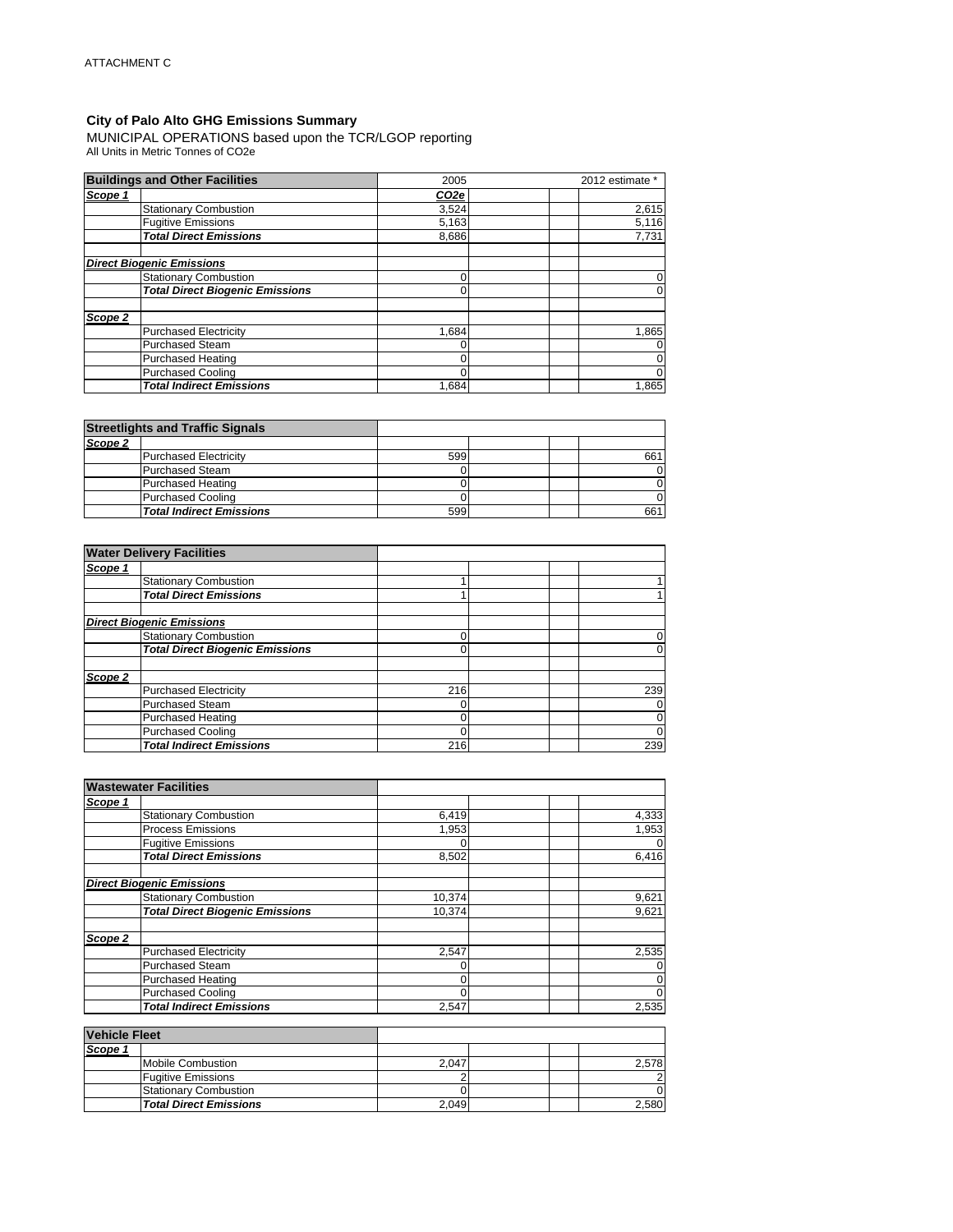#### **City of Palo Alto GHG Emissions Summary**

MUNICIPAL OPERATIONS based upon the TCR/LGOP reporting All Units in Metric Tonnes of CO2e

|         | <b>Buildings and Other Facilities</b>  | 2005             | 2012 estimate * |       |
|---------|----------------------------------------|------------------|-----------------|-------|
| Scope 1 |                                        | CO <sub>2e</sub> |                 |       |
|         | <b>Stationary Combustion</b>           | 3,524            |                 | 2,615 |
|         | <b>Fugitive Emissions</b>              | 5,163            |                 | 5,116 |
|         | <b>Total Direct Emissions</b>          | 8.686            |                 | 7,731 |
|         | <b>Direct Biogenic Emissions</b>       |                  |                 |       |
|         | <b>Stationary Combustion</b>           | ſ                |                 |       |
|         | <b>Total Direct Biogenic Emissions</b> | 0                |                 |       |
| Scope 2 |                                        |                  |                 |       |
|         | <b>Purchased Electricity</b>           | 1.684            |                 | 1,865 |
|         | <b>Purchased Steam</b>                 |                  |                 |       |
|         | <b>Purchased Heating</b>               | 0                |                 |       |
|         | <b>Purchased Cooling</b>               | O                |                 |       |
|         | <b>Total Indirect Emissions</b>        | 1.684            |                 | 1,865 |

|         | <b>Streetlights and Traffic Signals</b> |     |  |     |
|---------|-----------------------------------------|-----|--|-----|
| Scope 2 |                                         |     |  |     |
|         | <b>Purchased Electricity</b>            | 599 |  | 661 |
|         | <b>Purchased Steam</b>                  |     |  |     |
|         | Purchased Heating                       |     |  |     |
|         | <b>Purchased Cooling</b>                |     |  |     |
|         | <b>Total Indirect Emissions</b>         | 599 |  | 661 |

|         | <b>Water Delivery Facilities</b>       |     |                |
|---------|----------------------------------------|-----|----------------|
| Scope 1 |                                        |     |                |
|         | <b>Stationary Combustion</b>           |     |                |
|         | <b>Total Direct Emissions</b>          |     |                |
|         | <b>Direct Biogenic Emissions</b>       |     |                |
|         | <b>Stationary Combustion</b>           |     | 0              |
|         | <b>Total Direct Biogenic Emissions</b> |     | 0              |
| Scope 2 |                                        |     |                |
|         | <b>Purchased Electricity</b>           | 216 | 239            |
|         | <b>Purchased Steam</b>                 |     | $\mathbf 0$    |
|         | <b>Purchased Heating</b>               |     | $\mathbf{0}$   |
|         | <b>Purchased Cooling</b>               |     | $\overline{0}$ |
|         | <b>Total Indirect Emissions</b>        | 216 | 239            |

| <b>Wastewater Facilities</b>           |        |       |
|----------------------------------------|--------|-------|
| Scope 1                                |        |       |
| <b>Stationary Combustion</b>           | 6,419  | 4,333 |
| <b>Process Emissions</b>               | 1,953  | 1,953 |
| <b>Fugitive Emissions</b>              |        | 0     |
| <b>Total Direct Emissions</b>          | 8,502  | 6,416 |
| <b>Direct Biogenic Emissions</b>       |        |       |
| <b>Stationary Combustion</b>           | 10,374 | 9,621 |
| <b>Total Direct Biogenic Emissions</b> | 10.374 | 9,621 |
| Scope 2                                |        |       |
| <b>Purchased Electricity</b>           | 2,547  | 2,535 |
| <b>Purchased Steam</b>                 |        | 0     |
| <b>Purchased Heating</b>               |        | 0     |
| <b>Purchased Cooling</b>               |        | 0     |
| <b>Total Indirect Emissions</b>        | 2,547  | 2,535 |

| <b>Vehicle Fleet</b> |                               |       |       |
|----------------------|-------------------------------|-------|-------|
| Scope 1              |                               |       |       |
|                      | Mobile Combustion             | 2.047 | 2.578 |
|                      | <b>Fugitive Emissions</b>     |       |       |
|                      | <b>Stationary Combustion</b>  |       |       |
|                      | <b>Total Direct Emissions</b> | 2.049 | 2.580 |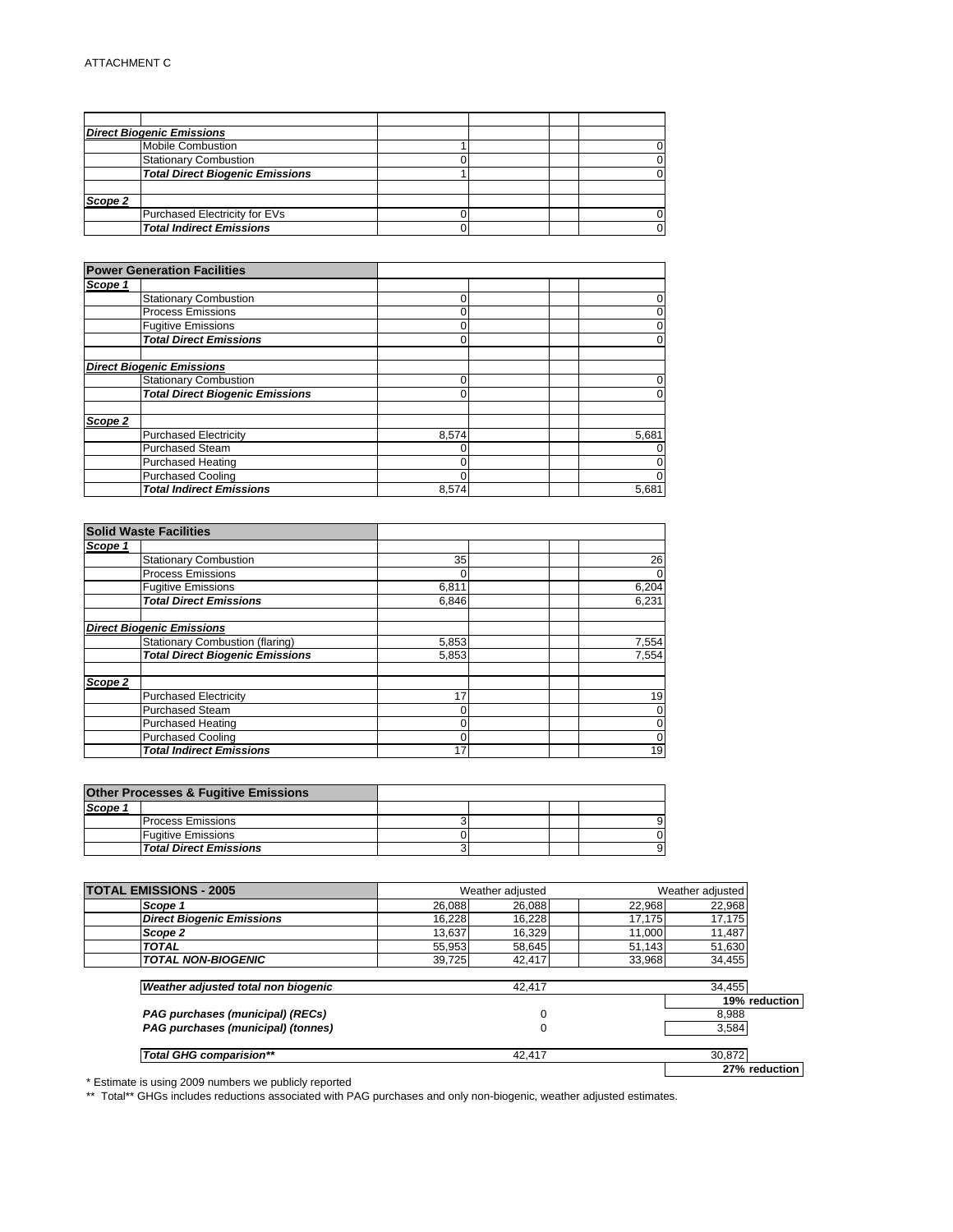|         | <b>Direct Biogenic Emissions</b>       |  |  |
|---------|----------------------------------------|--|--|
|         | <b>Mobile Combustion</b>               |  |  |
|         | <b>Stationary Combustion</b>           |  |  |
|         | <b>Total Direct Biogenic Emissions</b> |  |  |
| Scope 2 |                                        |  |  |
|         | Purchased Electricity for EVs          |  |  |
|         | <b>Total Indirect Emissions</b>        |  |  |

|         | <b>Power Generation Facilities</b>     |       |                |
|---------|----------------------------------------|-------|----------------|
| Scope 1 |                                        |       |                |
|         | <b>Stationary Combustion</b>           |       | 0              |
|         | <b>Process Emissions</b>               |       | 0              |
|         | <b>Fugitive Emissions</b>              |       | 0              |
|         | <b>Total Direct Emissions</b>          |       | 0              |
|         | <b>Direct Biogenic Emissions</b>       |       |                |
|         | <b>Stationary Combustion</b>           |       | 0              |
|         | <b>Total Direct Biogenic Emissions</b> |       | $\overline{0}$ |
| Scope 2 |                                        |       |                |
|         | <b>Purchased Electricity</b>           | 8,574 | 5,681          |
|         | <b>Purchased Steam</b>                 |       | 0              |
|         | <b>Purchased Heating</b>               |       | 0              |
|         | <b>Purchased Cooling</b>               |       | 0              |
|         | <b>Total Indirect Emissions</b>        | 8,574 | 5,681          |

| <b>Solid Waste Facilities</b>          |       |             |
|----------------------------------------|-------|-------------|
| Scope 1                                |       |             |
| <b>Stationary Combustion</b>           | 35    | 26          |
| <b>Process Emissions</b>               | 0     | $\mathbf 0$ |
| <b>Fugitive Emissions</b>              | 6,811 | 6,204       |
| <b>Total Direct Emissions</b>          | 6.846 | 6.231       |
|                                        |       |             |
| <b>Direct Biogenic Emissions</b>       |       |             |
| Stationary Combustion (flaring)        | 5,853 | 7,554       |
| <b>Total Direct Biogenic Emissions</b> | 5,853 | 7,554       |
| Scope 2                                |       |             |
| <b>Purchased Electricity</b>           | 17    | 19          |
| <b>Purchased Steam</b>                 |       | $\mathbf 0$ |
| Purchased Heating                      |       | $\mathbf 0$ |
| Purchased Cooling                      | 0     | $\mathbf 0$ |
| <b>Total Indirect Emissions</b>        | 17    | 19          |

|         | <b>Other Processes &amp; Fugitive Emissions</b> |  |  |
|---------|-------------------------------------------------|--|--|
| Scope 1 |                                                 |  |  |
|         | <b>Process Emissions</b>                        |  |  |
|         | <b>Fugitive Emissions</b>                       |  |  |
|         | <b>Total Direct Emissions</b>                   |  |  |

| <b>TOTAL EMISSIONS - 2005</b>       | Weather adjusted |        |        | Weather adjusted |  |
|-------------------------------------|------------------|--------|--------|------------------|--|
| Scope 1                             | 26.088           | 26,088 | 22.968 | 22,968           |  |
| <b>Direct Biogenic Emissions</b>    | 16,228           | 16,228 | 17,175 | 17,175           |  |
| Scope 2                             | 13.637           | 16,329 | 11.000 | 11,487           |  |
| <b>TOTAL</b>                        | 55,953           | 58,645 | 51.143 | 51,630           |  |
| <b>TOTAL NON-BIOGENIC</b>           | 39,725           | 42,417 | 33,968 | 34,455           |  |
|                                     |                  |        |        |                  |  |
| Weather adjusted total non biogenic |                  | 42.417 |        | 34.455           |  |
|                                     |                  |        |        | 19% reduction    |  |
| PAG purchases (municipal) (RECs)    |                  | 0      |        | 8.988            |  |
| PAG purchases (municipal) (tonnes)  |                  | 0      |        | 3,584            |  |
|                                     |                  |        |        |                  |  |
| <b>Total GHG comparision**</b>      |                  | 42.417 |        | 30.872           |  |
|                                     |                  |        |        | 27% reduction    |  |

\* Estimate is using 2009 numbers we publicly reported

\*\* Total\*\* GHGs includes reductions associated with PAG purchases and only non-biogenic, weather adjusted estimates.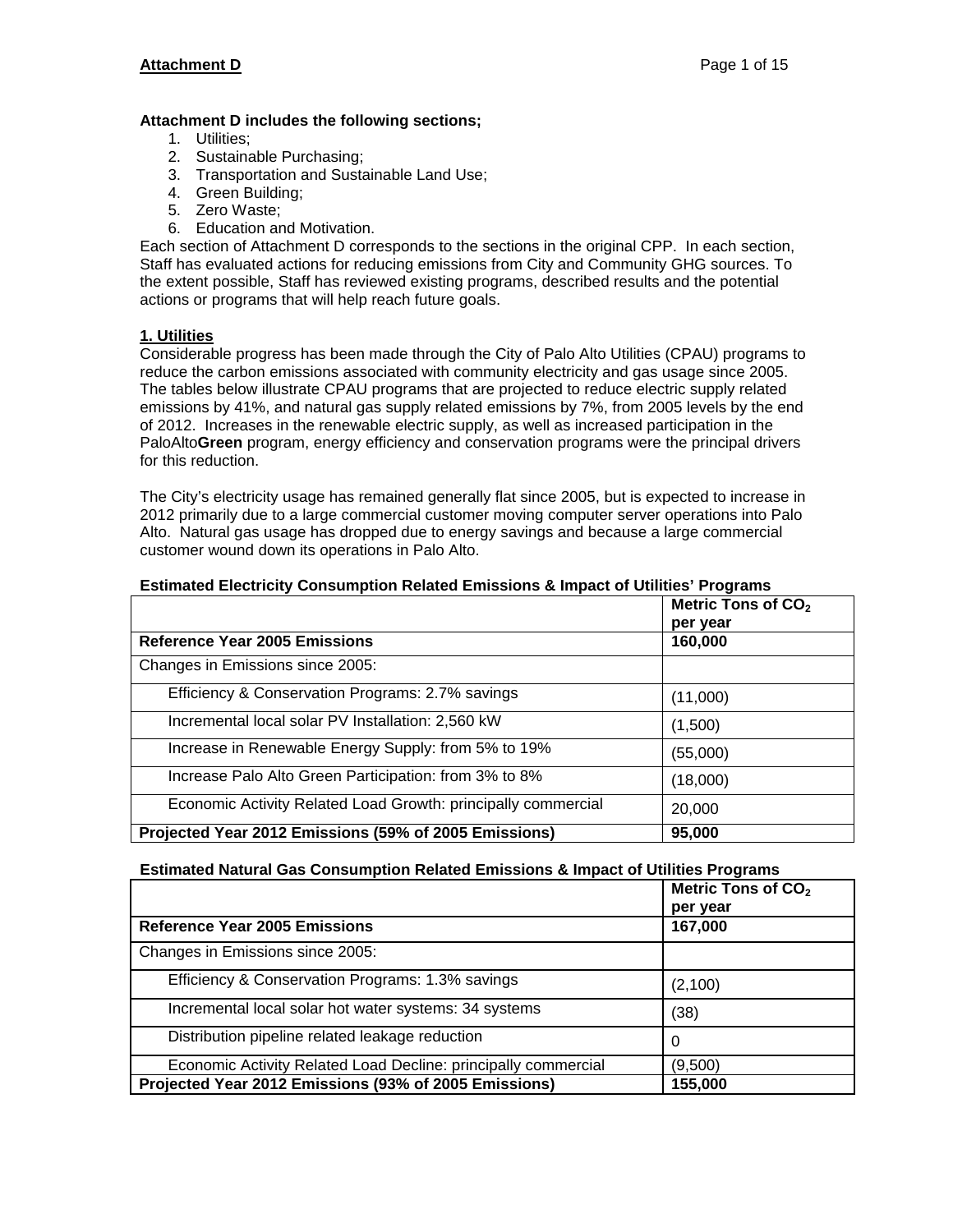#### **Attachment D includes the following sections;**

- 1. Utilities;
- 2. Sustainable Purchasing;
- 3. Transportation and Sustainable Land Use;
- 4. Green Building;
- 5. Zero Waste;
- 6. Education and Motivation.

Each section of Attachment D corresponds to the sections in the original CPP. In each section, Staff has evaluated actions for reducing emissions from City and Community GHG sources. To the extent possible, Staff has reviewed existing programs, described results and the potential actions or programs that will help reach future goals.

#### **1. Utilities**

Considerable progress has been made through the City of Palo Alto Utilities (CPAU) programs to reduce the carbon emissions associated with community electricity and gas usage since 2005. The tables below illustrate CPAU programs that are projected to reduce electric supply related emissions by 41%, and natural gas supply related emissions by 7%, from 2005 levels by the end of 2012. Increases in the renewable electric supply, as well as increased participation in the PaloAlto**Green** program, energy efficiency and conservation programs were the principal drivers for this reduction.

The City's electricity usage has remained generally flat since 2005, but is expected to increase in 2012 primarily due to a large commercial customer moving computer server operations into Palo Alto. Natural gas usage has dropped due to energy savings and because a large commercial customer wound down its operations in Palo Alto.

|                                                               | Metric Tons of CO <sub>2</sub><br>per year |
|---------------------------------------------------------------|--------------------------------------------|
| <b>Reference Year 2005 Emissions</b>                          | 160,000                                    |
| Changes in Emissions since 2005:                              |                                            |
| Efficiency & Conservation Programs: 2.7% savings              | (11,000)                                   |
| Incremental local solar PV Installation: 2,560 kW             | (1,500)                                    |
| Increase in Renewable Energy Supply: from 5% to 19%           | (55,000)                                   |
| Increase Palo Alto Green Participation: from 3% to 8%         | (18,000)                                   |
| Economic Activity Related Load Growth: principally commercial | 20,000                                     |
| Projected Year 2012 Emissions (59% of 2005 Emissions)         | 95,000                                     |

#### **Estimated Electricity Consumption Related Emissions & Impact of Utilities' Programs**

#### **Estimated Natural Gas Consumption Related Emissions & Impact of Utilities Programs**

|                                                                | Metric Tons of CO <sub>2</sub><br>per year |
|----------------------------------------------------------------|--------------------------------------------|
| <b>Reference Year 2005 Emissions</b>                           | 167,000                                    |
| Changes in Emissions since 2005:                               |                                            |
| Efficiency & Conservation Programs: 1.3% savings               | (2, 100)                                   |
| Incremental local solar hot water systems: 34 systems          | (38)                                       |
| Distribution pipeline related leakage reduction                | 0                                          |
| Economic Activity Related Load Decline: principally commercial | (9,500)                                    |
| Projected Year 2012 Emissions (93% of 2005 Emissions)          | 155,000                                    |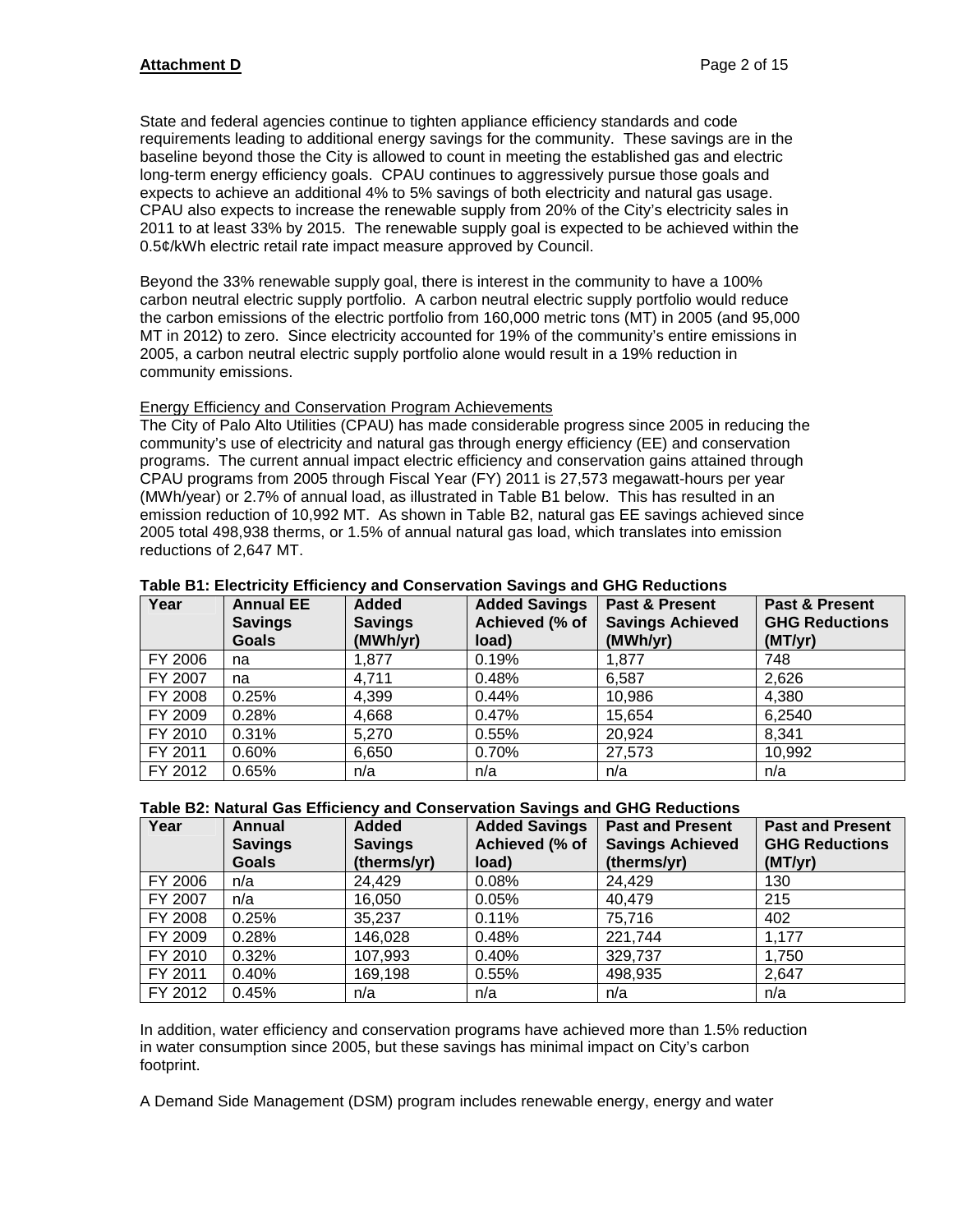State and federal agencies continue to tighten appliance efficiency standards and code requirements leading to additional energy savings for the community. These savings are in the baseline beyond those the City is allowed to count in meeting the established gas and electric long-term energy efficiency goals. CPAU continues to aggressively pursue those goals and expects to achieve an additional 4% to 5% savings of both electricity and natural gas usage. CPAU also expects to increase the renewable supply from 20% of the City's electricity sales in 2011 to at least 33% by 2015. The renewable supply goal is expected to be achieved within the 0.5¢/kWh electric retail rate impact measure approved by Council.

Beyond the 33% renewable supply goal, there is interest in the community to have a 100% carbon neutral electric supply portfolio. A carbon neutral electric supply portfolio would reduce the carbon emissions of the electric portfolio from 160,000 metric tons (MT) in 2005 (and 95,000 MT in 2012) to zero. Since electricity accounted for 19% of the community's entire emissions in 2005, a carbon neutral electric supply portfolio alone would result in a 19% reduction in community emissions.

#### Energy Efficiency and Conservation Program Achievements

The City of Palo Alto Utilities (CPAU) has made considerable progress since 2005 in reducing the community's use of electricity and natural gas through energy efficiency (EE) and conservation programs. The current annual impact electric efficiency and conservation gains attained through CPAU programs from 2005 through Fiscal Year (FY) 2011 is 27,573 megawatt-hours per year (MWh/year) or 2.7% of annual load, as illustrated in Table B1 below. This has resulted in an emission reduction of 10,992 MT. As shown in Table B2, natural gas EE savings achieved since 2005 total 498,938 therms, or 1.5% of annual natural gas load, which translates into emission reductions of 2,647 MT.

| Year    | <b>Annual EE</b><br><b>Savings</b><br><b>Goals</b> | <b>Added</b><br><b>Savings</b><br>(MWh/yr) | <b>Added Savings</b><br>Achieved (% of<br>load) | Past & Present<br><b>Savings Achieved</b><br>(MWh/yr) | <b>Past &amp; Present</b><br><b>GHG Reductions</b><br>(MT/yr) |
|---------|----------------------------------------------------|--------------------------------------------|-------------------------------------------------|-------------------------------------------------------|---------------------------------------------------------------|
| FY 2006 | na                                                 | 1,877                                      | 0.19%                                           | 1,877                                                 | 748                                                           |
| FY 2007 | na                                                 | 4,711                                      | 0.48%                                           | 6,587                                                 | 2,626                                                         |
| FY 2008 | 0.25%                                              | 4,399                                      | 0.44%                                           | 10,986                                                | 4,380                                                         |
| FY 2009 | 0.28%                                              | 4,668                                      | 0.47%                                           | 15,654                                                | 6,2540                                                        |
| FY 2010 | 0.31%                                              | 5,270                                      | 0.55%                                           | 20,924                                                | 8,341                                                         |
| FY 2011 | 0.60%                                              | 6,650                                      | 0.70%                                           | 27,573                                                | 10,992                                                        |
| FY 2012 | 0.65%                                              | n/a                                        | n/a                                             | n/a                                                   | n/a                                                           |

#### **Table B1: Electricity Efficiency and Conservation Savings and GHG Reductions**

#### **Table B2: Natural Gas Efficiency and Conservation Savings and GHG Reductions**

| Year    | <b>Annual</b><br><b>Savings</b> | <b>Added</b><br><b>Savings</b> | <b>Added Savings</b><br>Achieved (% of | <b>Past and Present</b><br><b>Savings Achieved</b> | <b>Past and Present</b><br><b>GHG Reductions</b> |
|---------|---------------------------------|--------------------------------|----------------------------------------|----------------------------------------------------|--------------------------------------------------|
|         | <b>Goals</b>                    | (therms/yr)                    | load)                                  | (therms/yr)                                        | (MT/yr)                                          |
| FY 2006 | n/a                             | 24,429                         | 0.08%                                  | 24,429                                             | 130                                              |
| FY 2007 | n/a                             | 16,050                         | 0.05%                                  | 40,479                                             | 215                                              |
| FY 2008 | 0.25%                           | 35,237                         | 0.11%                                  | 75,716                                             | 402                                              |
| FY 2009 | 0.28%                           | 146,028                        | 0.48%                                  | 221,744                                            | 1,177                                            |
| FY 2010 | 0.32%                           | 107,993                        | 0.40%                                  | 329,737                                            | 1,750                                            |
| FY 2011 | 0.40%                           | 169,198                        | 0.55%                                  | 498,935                                            | 2,647                                            |
| FY 2012 | 0.45%                           | n/a                            | n/a                                    | n/a                                                | n/a                                              |

In addition, water efficiency and conservation programs have achieved more than 1.5% reduction in water consumption since 2005, but these savings has minimal impact on City's carbon footprint.

A Demand Side Management (DSM) program includes renewable energy, energy and water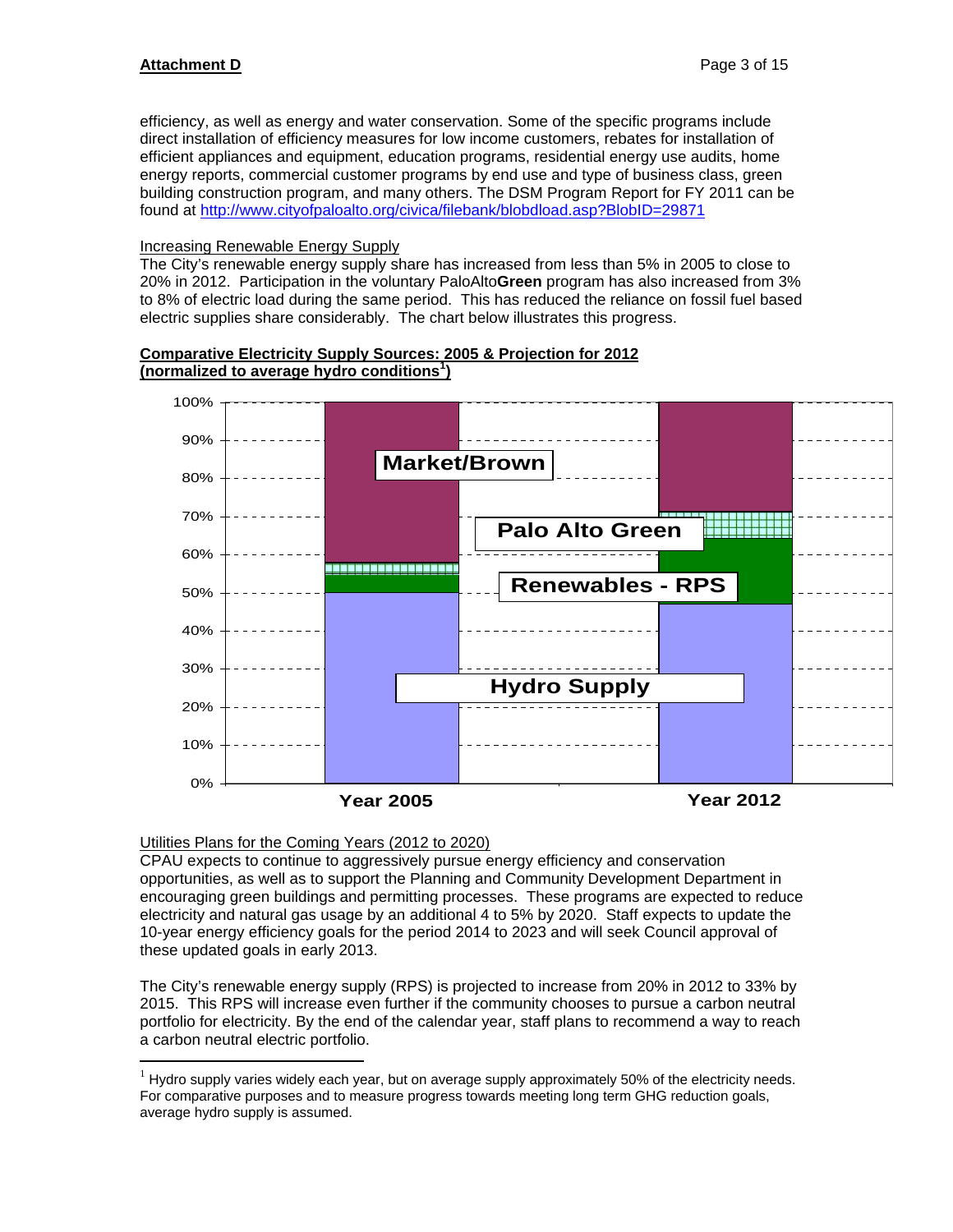efficiency, as well as energy and water conservation. Some of the specific programs include direct installation of efficiency measures for low income customers, rebates for installation of efficient appliances and equipment, education programs, residential energy use audits, home energy reports, commercial customer programs by end use and type of business class, green building construction program, and many others. The DSM Program Report for FY 2011 can be found at http://www.cityofpaloalto.org/civica/filebank/blobdload.asp?BlobID=29871

#### Increasing Renewable Energy Supply

The City's renewable energy supply share has increased from less than 5% in 2005 to close to 20% in 2012. Participation in the voluntary PaloAlto**Green** program has also increased from 3% to 8% of electric load during the same period. This has reduced the reliance on fossil fuel based electric supplies share considerably. The chart below illustrates this progress.

#### **Comparative Electricity Supply Sources: 2005 & Projection for 2012 (normalized to average hydro conditions<sup>1</sup> )**



#### Utilities Plans for the Coming Years (2012 to 2020)

 $\overline{a}$ 

CPAU expects to continue to aggressively pursue energy efficiency and conservation opportunities, as well as to support the Planning and Community Development Department in encouraging green buildings and permitting processes. These programs are expected to reduce electricity and natural gas usage by an additional 4 to 5% by 2020. Staff expects to update the 10-year energy efficiency goals for the period 2014 to 2023 and will seek Council approval of these updated goals in early 2013.

The City's renewable energy supply (RPS) is projected to increase from 20% in 2012 to 33% by 2015. This RPS will increase even further if the community chooses to pursue a carbon neutral portfolio for electricity. By the end of the calendar year, staff plans to recommend a way to reach a carbon neutral electric portfolio.

 $1$  Hydro supply varies widely each year, but on average supply approximately 50% of the electricity needs. For comparative purposes and to measure progress towards meeting long term GHG reduction goals, average hydro supply is assumed.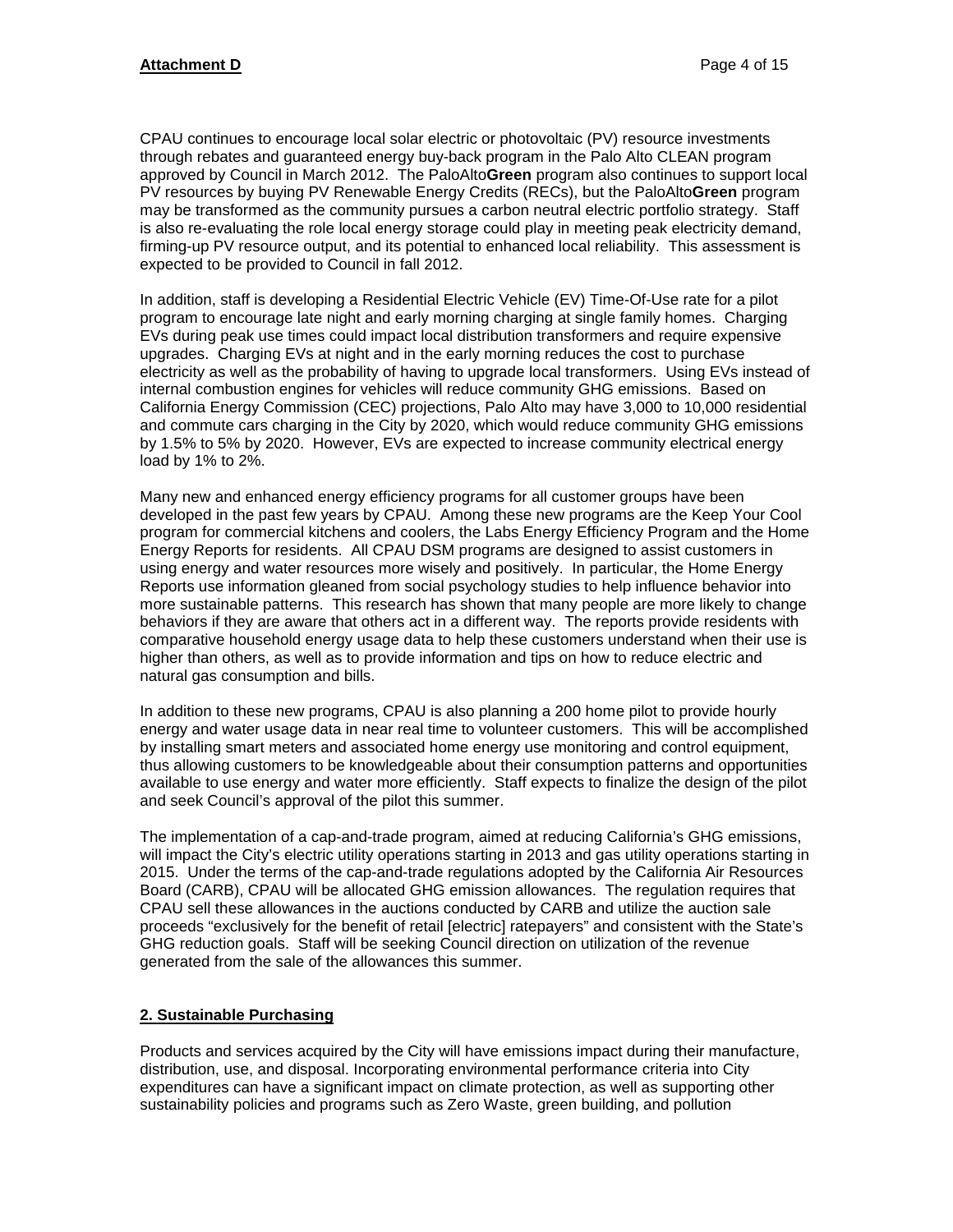CPAU continues to encourage local solar electric or photovoltaic (PV) resource investments through rebates and guaranteed energy buy-back program in the Palo Alto CLEAN program approved by Council in March 2012. The PaloAlto**Green** program also continues to support local PV resources by buying PV Renewable Energy Credits (RECs), but the PaloAlto**Green** program may be transformed as the community pursues a carbon neutral electric portfolio strategy. Staff is also re-evaluating the role local energy storage could play in meeting peak electricity demand, firming-up PV resource output, and its potential to enhanced local reliability. This assessment is expected to be provided to Council in fall 2012.

In addition, staff is developing a Residential Electric Vehicle (EV) Time-Of-Use rate for a pilot program to encourage late night and early morning charging at single family homes. Charging EVs during peak use times could impact local distribution transformers and require expensive upgrades. Charging EVs at night and in the early morning reduces the cost to purchase electricity as well as the probability of having to upgrade local transformers. Using EVs instead of internal combustion engines for vehicles will reduce community GHG emissions. Based on California Energy Commission (CEC) projections, Palo Alto may have 3,000 to 10,000 residential and commute cars charging in the City by 2020, which would reduce community GHG emissions by 1.5% to 5% by 2020. However, EVs are expected to increase community electrical energy load by 1% to 2%.

Many new and enhanced energy efficiency programs for all customer groups have been developed in the past few years by CPAU. Among these new programs are the Keep Your Cool program for commercial kitchens and coolers, the Labs Energy Efficiency Program and the Home Energy Reports for residents. All CPAU DSM programs are designed to assist customers in using energy and water resources more wisely and positively. In particular, the Home Energy Reports use information gleaned from social psychology studies to help influence behavior into more sustainable patterns. This research has shown that many people are more likely to change behaviors if they are aware that others act in a different way. The reports provide residents with comparative household energy usage data to help these customers understand when their use is higher than others, as well as to provide information and tips on how to reduce electric and natural gas consumption and bills.

In addition to these new programs, CPAU is also planning a 200 home pilot to provide hourly energy and water usage data in near real time to volunteer customers. This will be accomplished by installing smart meters and associated home energy use monitoring and control equipment, thus allowing customers to be knowledgeable about their consumption patterns and opportunities available to use energy and water more efficiently. Staff expects to finalize the design of the pilot and seek Council's approval of the pilot this summer.

The implementation of a cap-and-trade program, aimed at reducing California's GHG emissions, will impact the City's electric utility operations starting in 2013 and gas utility operations starting in 2015. Under the terms of the cap-and-trade regulations adopted by the California Air Resources Board (CARB), CPAU will be allocated GHG emission allowances. The regulation requires that CPAU sell these allowances in the auctions conducted by CARB and utilize the auction sale proceeds "exclusively for the benefit of retail [electric] ratepayers" and consistent with the State's GHG reduction goals. Staff will be seeking Council direction on utilization of the revenue generated from the sale of the allowances this summer.

#### **2. Sustainable Purchasing**

Products and services acquired by the City will have emissions impact during their manufacture, distribution, use, and disposal. Incorporating environmental performance criteria into City expenditures can have a significant impact on climate protection, as well as supporting other sustainability policies and programs such as Zero Waste, green building, and pollution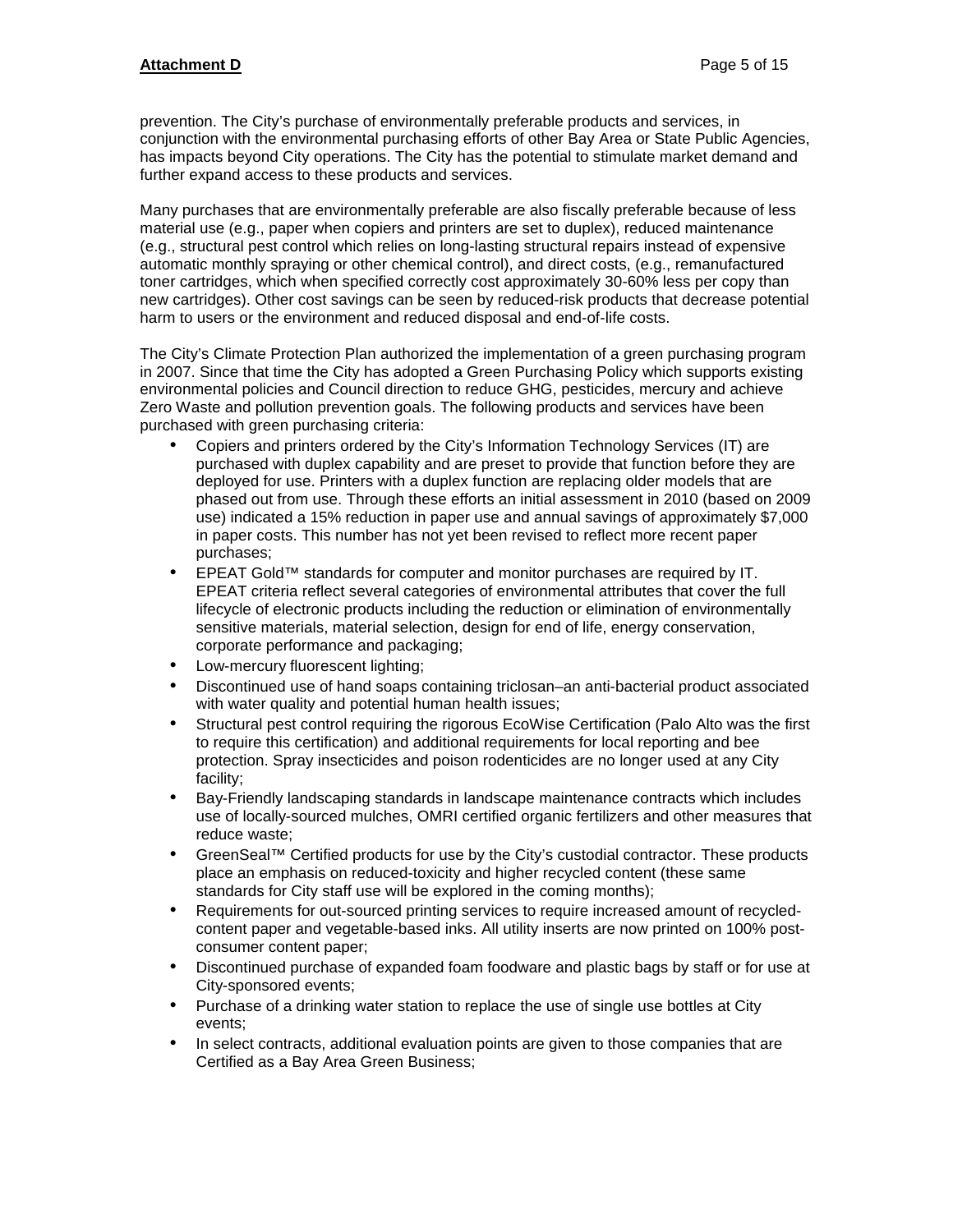prevention. The City's purchase of environmentally preferable products and services, in conjunction with the environmental purchasing efforts of other Bay Area or State Public Agencies, has impacts beyond City operations. The City has the potential to stimulate market demand and further expand access to these products and services.

Many purchases that are environmentally preferable are also fiscally preferable because of less material use (e.g., paper when copiers and printers are set to duplex), reduced maintenance (e.g., structural pest control which relies on long-lasting structural repairs instead of expensive automatic monthly spraying or other chemical control), and direct costs, (e.g., remanufactured toner cartridges, which when specified correctly cost approximately 30-60% less per copy than new cartridges). Other cost savings can be seen by reduced-risk products that decrease potential harm to users or the environment and reduced disposal and end-of-life costs.

The City's Climate Protection Plan authorized the implementation of a green purchasing program in 2007. Since that time the City has adopted a Green Purchasing Policy which supports existing environmental policies and Council direction to reduce GHG, pesticides, mercury and achieve Zero Waste and pollution prevention goals. The following products and services have been purchased with green purchasing criteria:

- Copiers and printers ordered by the City's Information Technology Services (IT) are purchased with duplex capability and are preset to provide that function before they are deployed for use. Printers with a duplex function are replacing older models that are phased out from use. Through these efforts an initial assessment in 2010 (based on 2009 use) indicated a 15% reduction in paper use and annual savings of approximately \$7,000 in paper costs. This number has not yet been revised to reflect more recent paper purchases;
- EPEAT Gold™ standards for computer and monitor purchases are required by IT. EPEAT criteria reflect several categories of environmental attributes that cover the full lifecycle of electronic products including the reduction or elimination of environmentally sensitive materials, material selection, design for end of life, energy conservation, corporate performance and packaging;
- Low-mercury fluorescent lighting;
- Discontinued use of hand soaps containing triclosan–an anti-bacterial product associated with water quality and potential human health issues;
- Structural pest control requiring the rigorous EcoWise Certification (Palo Alto was the first to require this certification) and additional requirements for local reporting and bee protection. Spray insecticides and poison rodenticides are no longer used at any City facility;
- Bay-Friendly landscaping standards in landscape maintenance contracts which includes use of locally-sourced mulches, OMRI certified organic fertilizers and other measures that reduce waste;
- GreenSeal™ Certified products for use by the City's custodial contractor. These products place an emphasis on reduced-toxicity and higher recycled content (these same standards for City staff use will be explored in the coming months);
- Requirements for out-sourced printing services to require increased amount of recycledcontent paper and vegetable-based inks. All utility inserts are now printed on 100% postconsumer content paper;
- Discontinued purchase of expanded foam foodware and plastic bags by staff or for use at City-sponsored events;
- Purchase of a drinking water station to replace the use of single use bottles at City events;
- In select contracts, additional evaluation points are given to those companies that are Certified as a Bay Area Green Business;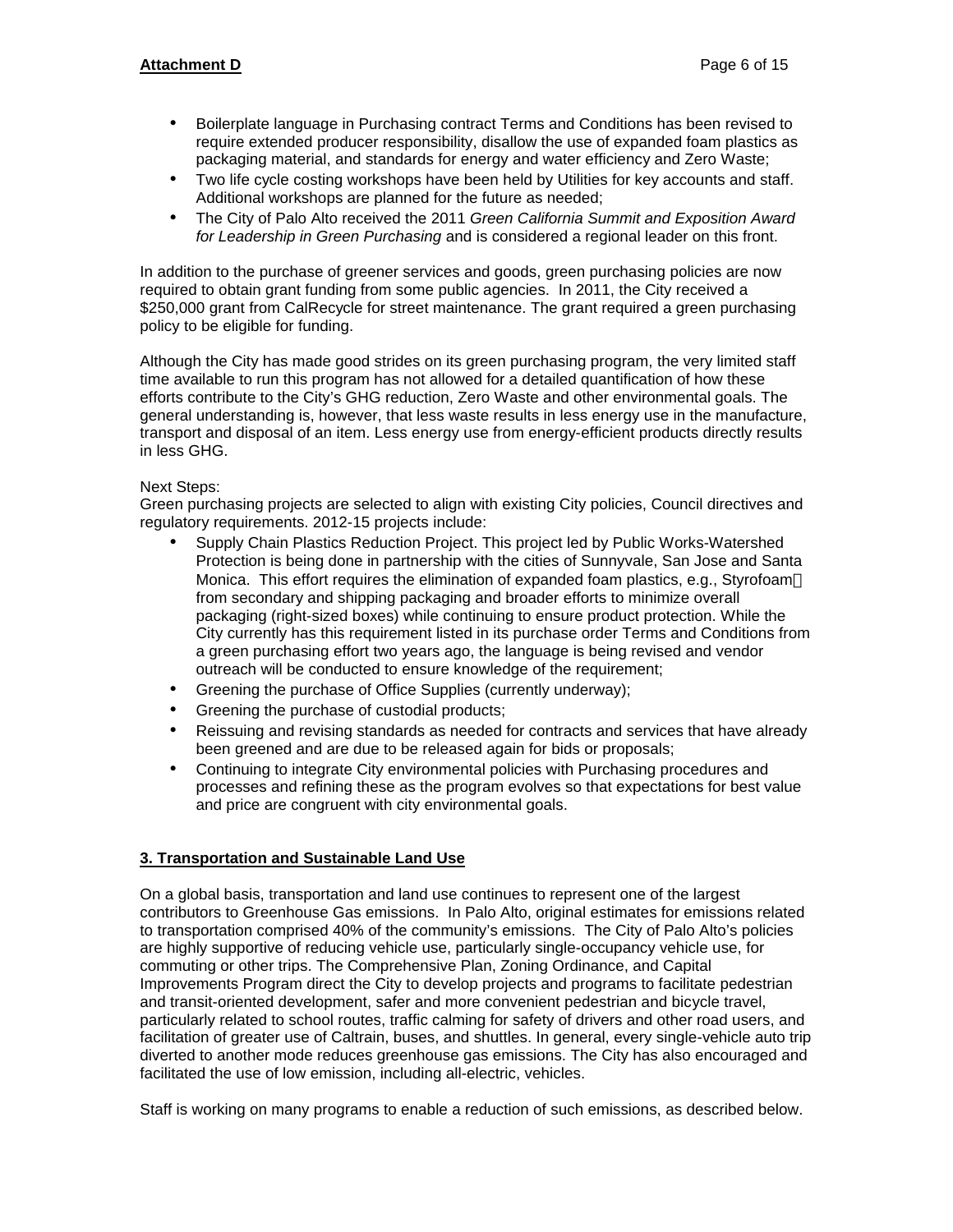## **Attachment D** Page 6 of 15

- Boilerplate language in Purchasing contract Terms and Conditions has been revised to require extended producer responsibility, disallow the use of expanded foam plastics as packaging material, and standards for energy and water efficiency and Zero Waste;
- Two life cycle costing workshops have been held by Utilities for key accounts and staff. Additional workshops are planned for the future as needed;
- The City of Palo Alto received the 2011 *Green California Summit and Exposition Award for Leadership in Green Purchasing* and is considered a regional leader on this front.

In addition to the purchase of greener services and goods, green purchasing policies are now required to obtain grant funding from some public agencies. In 2011, the City received a \$250,000 grant from CalRecycle for street maintenance. The grant required a green purchasing policy to be eligible for funding.

Although the City has made good strides on its green purchasing program, the very limited staff time available to run this program has not allowed for a detailed quantification of how these efforts contribute to the City's GHG reduction, Zero Waste and other environmental goals. The general understanding is, however, that less waste results in less energy use in the manufacture, transport and disposal of an item. Less energy use from energy-efficient products directly results in less GHG.

#### Next Steps:

Green purchasing projects are selected to align with existing City policies, Council directives and regulatory requirements. 2012-15 projects include:

- Supply Chain Plastics Reduction Project. This project led by Public Works-Watershed Protection is being done in partnership with the cities of Sunnyvale, San Jose and Santa Monica. This effort requires the elimination of expanded foam plastics, e.g., Styrofoam™ from secondary and shipping packaging and broader efforts to minimize overall packaging (right-sized boxes) while continuing to ensure product protection. While the City currently has this requirement listed in its purchase order Terms and Conditions from a green purchasing effort two years ago, the language is being revised and vendor outreach will be conducted to ensure knowledge of the requirement;
- Greening the purchase of Office Supplies (currently underway);
- Greening the purchase of custodial products;
- Reissuing and revising standards as needed for contracts and services that have already been greened and are due to be released again for bids or proposals;
- Continuing to integrate City environmental policies with Purchasing procedures and processes and refining these as the program evolves so that expectations for best value and price are congruent with city environmental goals.

#### **3. Transportation and Sustainable Land Use**

On a global basis, transportation and land use continues to represent one of the largest contributors to Greenhouse Gas emissions. In Palo Alto, original estimates for emissions related to transportation comprised 40% of the community's emissions. The City of Palo Alto's policies are highly supportive of reducing vehicle use, particularly single-occupancy vehicle use, for commuting or other trips. The Comprehensive Plan, Zoning Ordinance, and Capital Improvements Program direct the City to develop projects and programs to facilitate pedestrian and transit-oriented development, safer and more convenient pedestrian and bicycle travel, particularly related to school routes, traffic calming for safety of drivers and other road users, and facilitation of greater use of Caltrain, buses, and shuttles. In general, every single-vehicle auto trip diverted to another mode reduces greenhouse gas emissions. The City has also encouraged and facilitated the use of low emission, including all-electric, vehicles.

Staff is working on many programs to enable a reduction of such emissions, as described below.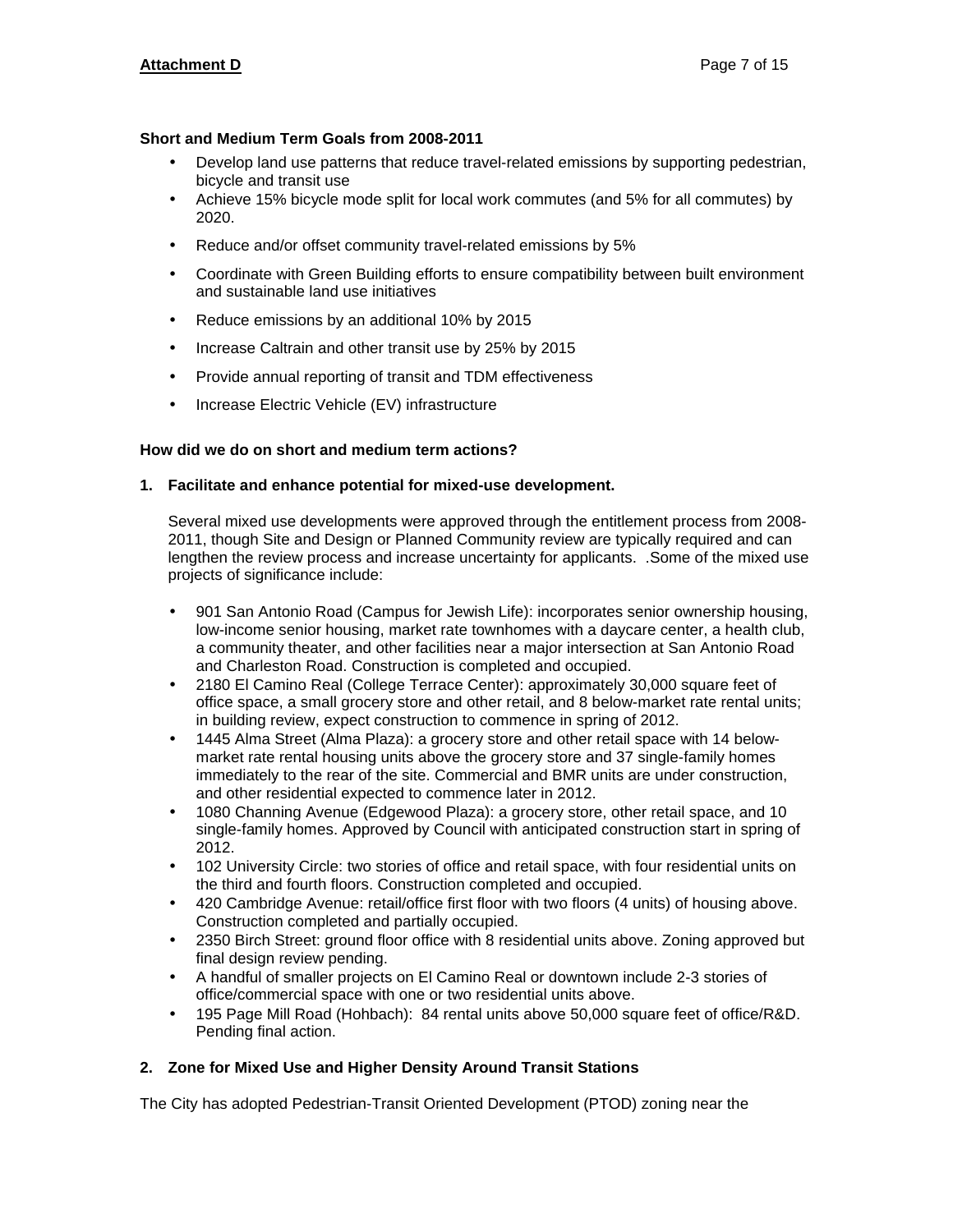#### **Short and Medium Term Goals from 2008-2011**

- Develop land use patterns that reduce travel-related emissions by supporting pedestrian, bicycle and transit use
- Achieve 15% bicycle mode split for local work commutes (and 5% for all commutes) by 2020.
- Reduce and/or offset community travel-related emissions by 5%
- Coordinate with Green Building efforts to ensure compatibility between built environment and sustainable land use initiatives
- Reduce emissions by an additional 10% by 2015
- Increase Caltrain and other transit use by 25% by 2015
- Provide annual reporting of transit and TDM effectiveness
- Increase Electric Vehicle (EV) infrastructure

## **How did we do on short and medium term actions?**

#### **1. Facilitate and enhance potential for mixed-use development.**

Several mixed use developments were approved through the entitlement process from 2008- 2011, though Site and Design or Planned Community review are typically required and can lengthen the review process and increase uncertainty for applicants. .Some of the mixed use projects of significance include:

- 901 San Antonio Road (Campus for Jewish Life): incorporates senior ownership housing, low-income senior housing, market rate townhomes with a daycare center, a health club, a community theater, and other facilities near a major intersection at San Antonio Road and Charleston Road. Construction is completed and occupied.
- 2180 El Camino Real (College Terrace Center): approximately 30,000 square feet of office space, a small grocery store and other retail, and 8 below-market rate rental units; in building review, expect construction to commence in spring of 2012.
- 1445 Alma Street (Alma Plaza): a grocery store and other retail space with 14 belowmarket rate rental housing units above the grocery store and 37 single-family homes immediately to the rear of the site. Commercial and BMR units are under construction, and other residential expected to commence later in 2012.
- 1080 Channing Avenue (Edgewood Plaza): a grocery store, other retail space, and 10 single-family homes. Approved by Council with anticipated construction start in spring of 2012.
- 102 University Circle: two stories of office and retail space, with four residential units on the third and fourth floors. Construction completed and occupied.
- 420 Cambridge Avenue: retail/office first floor with two floors (4 units) of housing above. Construction completed and partially occupied.
- 2350 Birch Street: ground floor office with 8 residential units above. Zoning approved but final design review pending.
- A handful of smaller projects on El Camino Real or downtown include 2-3 stories of office/commercial space with one or two residential units above.
- 195 Page Mill Road (Hohbach): 84 rental units above 50,000 square feet of office/R&D. Pending final action.

#### **2. Zone for Mixed Use and Higher Density Around Transit Stations**

The City has adopted Pedestrian-Transit Oriented Development (PTOD) zoning near the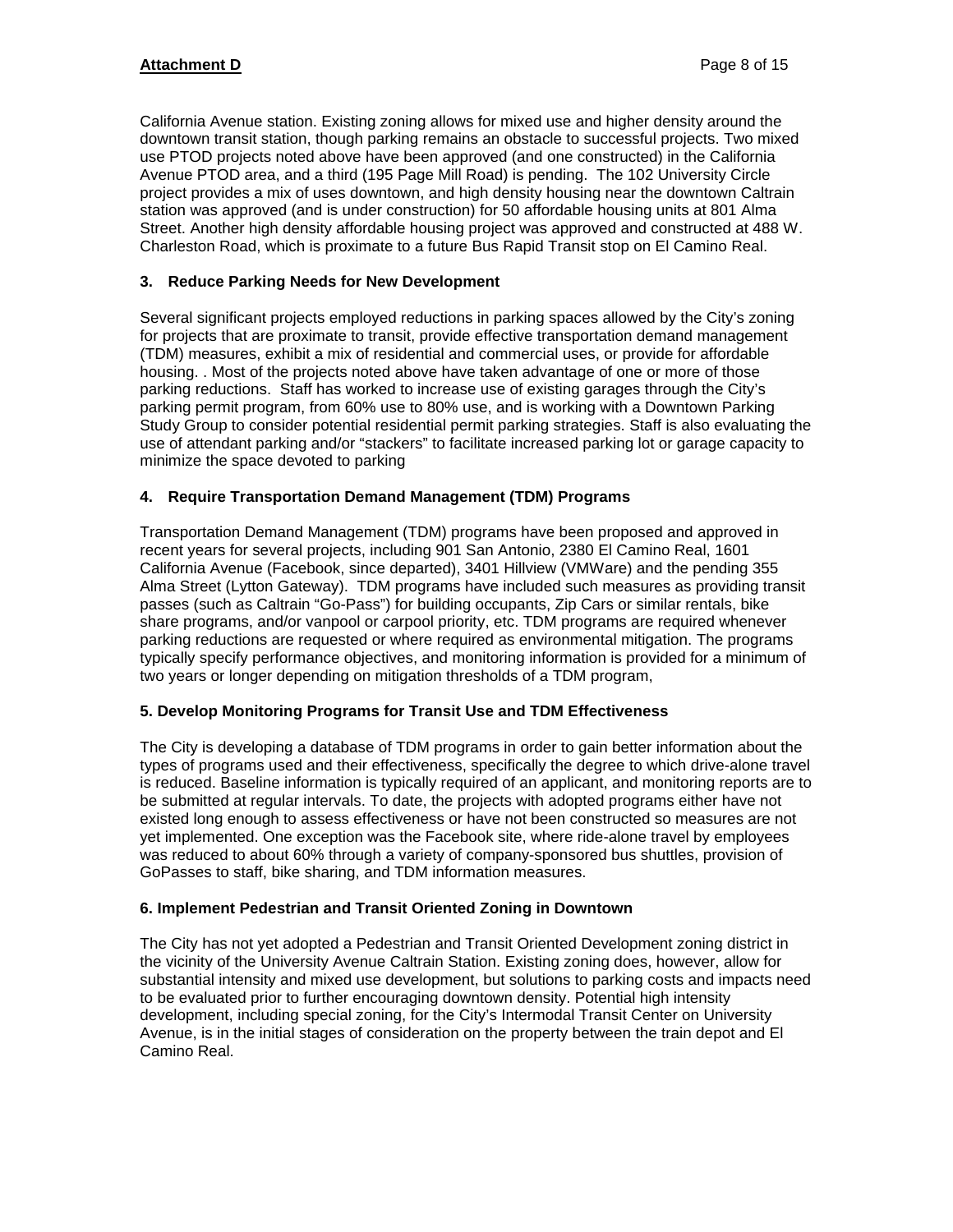California Avenue station. Existing zoning allows for mixed use and higher density around the downtown transit station, though parking remains an obstacle to successful projects. Two mixed use PTOD projects noted above have been approved (and one constructed) in the California Avenue PTOD area, and a third (195 Page Mill Road) is pending. The 102 University Circle project provides a mix of uses downtown, and high density housing near the downtown Caltrain station was approved (and is under construction) for 50 affordable housing units at 801 Alma Street. Another high density affordable housing project was approved and constructed at 488 W. Charleston Road, which is proximate to a future Bus Rapid Transit stop on El Camino Real.

## **3. Reduce Parking Needs for New Development**

Several significant projects employed reductions in parking spaces allowed by the City's zoning for projects that are proximate to transit, provide effective transportation demand management (TDM) measures, exhibit a mix of residential and commercial uses, or provide for affordable housing. . Most of the projects noted above have taken advantage of one or more of those parking reductions. Staff has worked to increase use of existing garages through the City's parking permit program, from 60% use to 80% use, and is working with a Downtown Parking Study Group to consider potential residential permit parking strategies. Staff is also evaluating the use of attendant parking and/or "stackers" to facilitate increased parking lot or garage capacity to minimize the space devoted to parking

## **4. Require Transportation Demand Management (TDM) Programs**

Transportation Demand Management (TDM) programs have been proposed and approved in recent years for several projects, including 901 San Antonio, 2380 El Camino Real, 1601 California Avenue (Facebook, since departed), 3401 Hillview (VMWare) and the pending 355 Alma Street (Lytton Gateway). TDM programs have included such measures as providing transit passes (such as Caltrain "Go-Pass") for building occupants, Zip Cars or similar rentals, bike share programs, and/or vanpool or carpool priority, etc. TDM programs are required whenever parking reductions are requested or where required as environmental mitigation. The programs typically specify performance objectives, and monitoring information is provided for a minimum of two years or longer depending on mitigation thresholds of a TDM program,

#### **5. Develop Monitoring Programs for Transit Use and TDM Effectiveness**

The City is developing a database of TDM programs in order to gain better information about the types of programs used and their effectiveness, specifically the degree to which drive-alone travel is reduced. Baseline information is typically required of an applicant, and monitoring reports are to be submitted at regular intervals. To date, the projects with adopted programs either have not existed long enough to assess effectiveness or have not been constructed so measures are not yet implemented. One exception was the Facebook site, where ride-alone travel by employees was reduced to about 60% through a variety of company-sponsored bus shuttles, provision of GoPasses to staff, bike sharing, and TDM information measures.

#### **6. Implement Pedestrian and Transit Oriented Zoning in Downtown**

The City has not yet adopted a Pedestrian and Transit Oriented Development zoning district in the vicinity of the University Avenue Caltrain Station. Existing zoning does, however, allow for substantial intensity and mixed use development, but solutions to parking costs and impacts need to be evaluated prior to further encouraging downtown density. Potential high intensity development, including special zoning, for the City's Intermodal Transit Center on University Avenue, is in the initial stages of consideration on the property between the train depot and El Camino Real.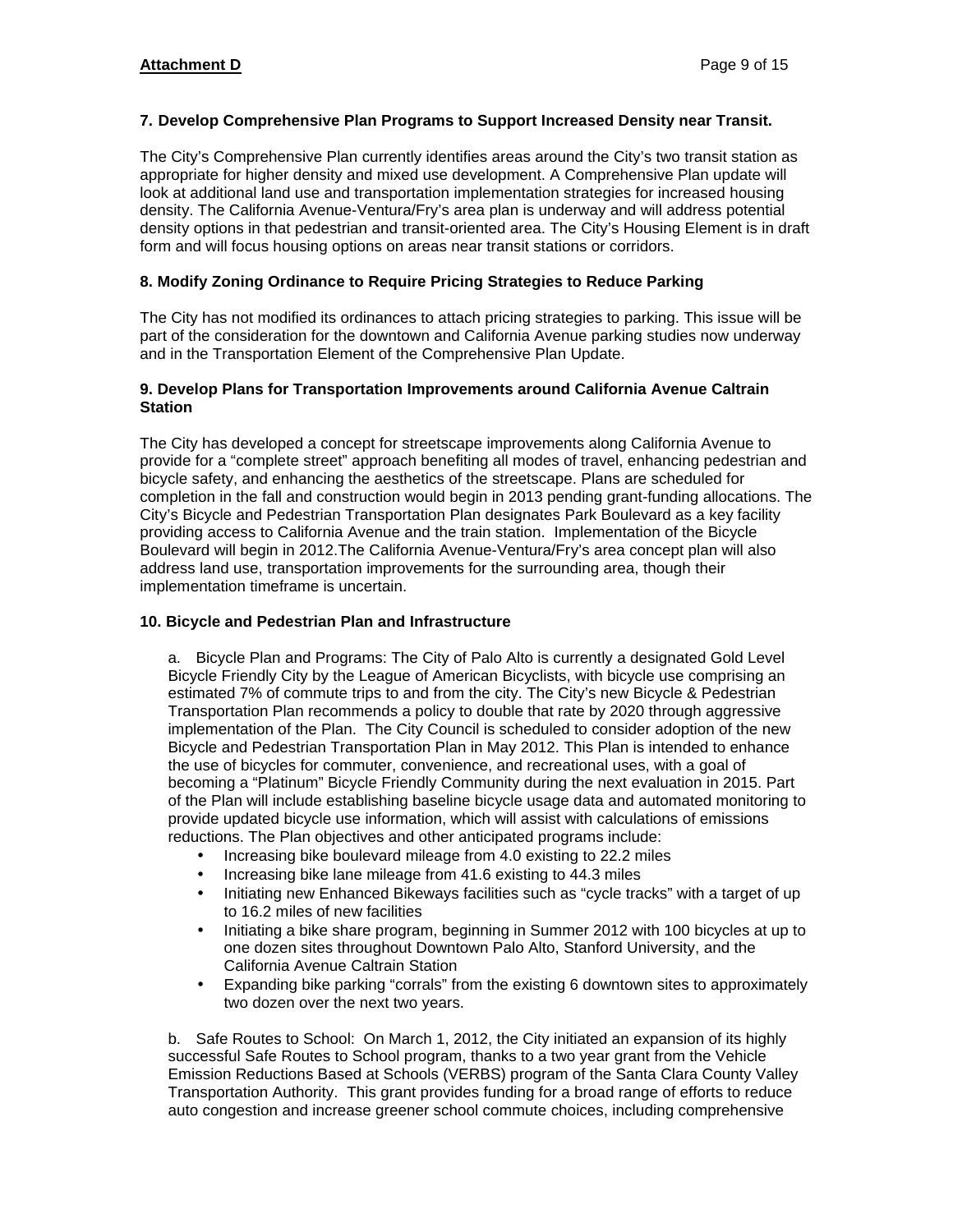## **7. Develop Comprehensive Plan Programs to Support Increased Density near Transit.**

The City's Comprehensive Plan currently identifies areas around the City's two transit station as appropriate for higher density and mixed use development. A Comprehensive Plan update will look at additional land use and transportation implementation strategies for increased housing density. The California Avenue-Ventura/Fry's area plan is underway and will address potential density options in that pedestrian and transit-oriented area. The City's Housing Element is in draft form and will focus housing options on areas near transit stations or corridors.

## **8. Modify Zoning Ordinance to Require Pricing Strategies to Reduce Parking**

The City has not modified its ordinances to attach pricing strategies to parking. This issue will be part of the consideration for the downtown and California Avenue parking studies now underway and in the Transportation Element of the Comprehensive Plan Update.

#### **9. Develop Plans for Transportation Improvements around California Avenue Caltrain Station**

The City has developed a concept for streetscape improvements along California Avenue to provide for a "complete street" approach benefiting all modes of travel, enhancing pedestrian and bicycle safety, and enhancing the aesthetics of the streetscape. Plans are scheduled for completion in the fall and construction would begin in 2013 pending grant-funding allocations. The City's Bicycle and Pedestrian Transportation Plan designates Park Boulevard as a key facility providing access to California Avenue and the train station. Implementation of the Bicycle Boulevard will begin in 2012.The California Avenue-Ventura/Fry's area concept plan will also address land use, transportation improvements for the surrounding area, though their implementation timeframe is uncertain.

#### **10. Bicycle and Pedestrian Plan and Infrastructure**

a. Bicycle Plan and Programs: The City of Palo Alto is currently a designated Gold Level Bicycle Friendly City by the League of American Bicyclists, with bicycle use comprising an estimated 7% of commute trips to and from the city. The City's new Bicycle & Pedestrian Transportation Plan recommends a policy to double that rate by 2020 through aggressive implementation of the Plan. The City Council is scheduled to consider adoption of the new Bicycle and Pedestrian Transportation Plan in May 2012. This Plan is intended to enhance the use of bicycles for commuter, convenience, and recreational uses, with a goal of becoming a "Platinum" Bicycle Friendly Community during the next evaluation in 2015. Part of the Plan will include establishing baseline bicycle usage data and automated monitoring to provide updated bicycle use information, which will assist with calculations of emissions reductions. The Plan objectives and other anticipated programs include:

- Increasing bike boulevard mileage from 4.0 existing to 22.2 miles
- Increasing bike lane mileage from 41.6 existing to 44.3 miles
- Initiating new Enhanced Bikeways facilities such as "cycle tracks" with a target of up to 16.2 miles of new facilities
- Initiating a bike share program, beginning in Summer 2012 with 100 bicycles at up to one dozen sites throughout Downtown Palo Alto, Stanford University, and the California Avenue Caltrain Station
- Expanding bike parking "corrals" from the existing 6 downtown sites to approximately two dozen over the next two years.

b. Safe Routes to School: On March 1, 2012, the City initiated an expansion of its highly successful Safe Routes to School program, thanks to a two year grant from the Vehicle Emission Reductions Based at Schools (VERBS) program of the Santa Clara County Valley Transportation Authority. This grant provides funding for a broad range of efforts to reduce auto congestion and increase greener school commute choices, including comprehensive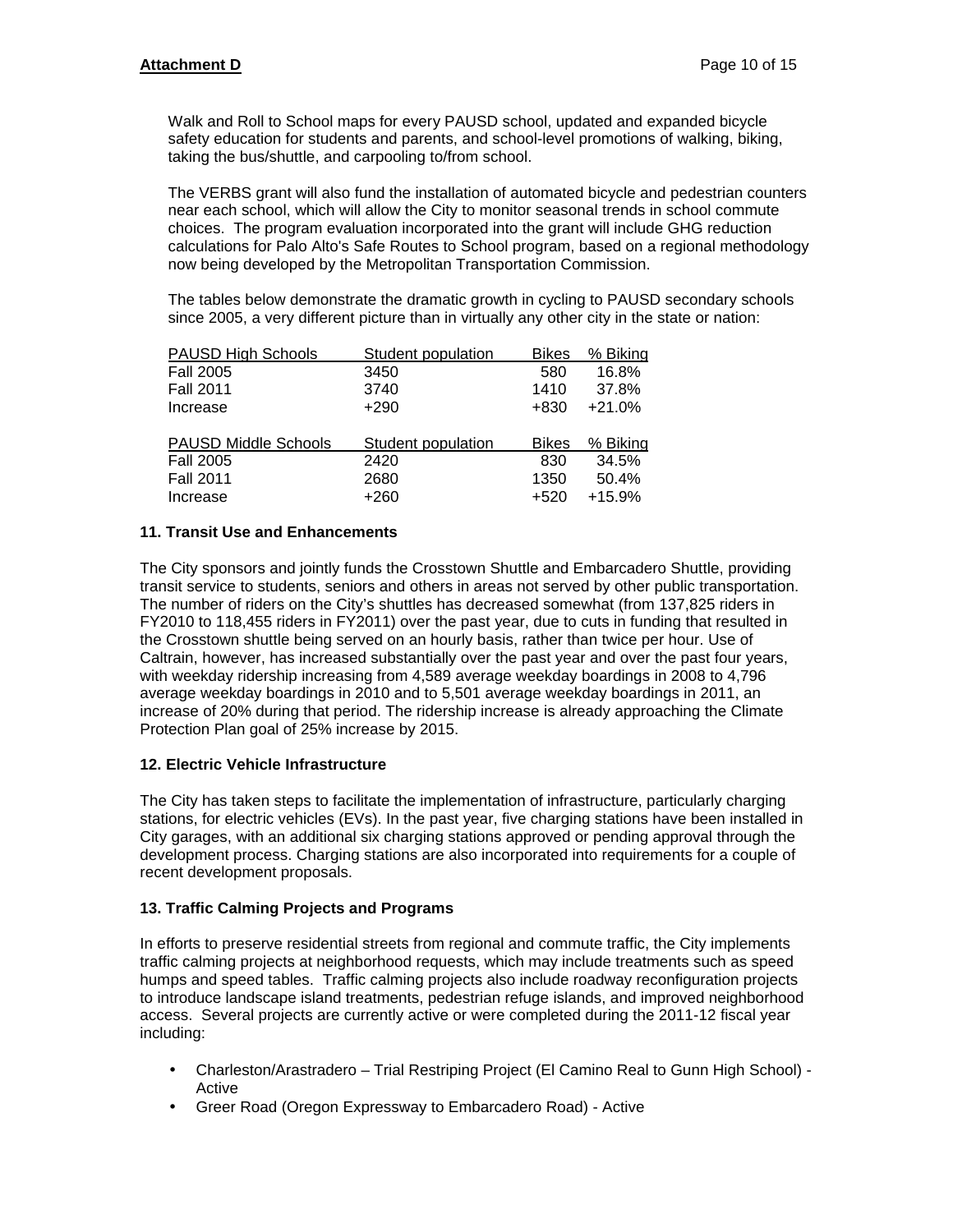Walk and Roll to School maps for every PAUSD school, updated and expanded bicycle safety education for students and parents, and school-level promotions of walking, biking, taking the bus/shuttle, and carpooling to/from school.

The VERBS grant will also fund the installation of automated bicycle and pedestrian counters near each school, which will allow the City to monitor seasonal trends in school commute choices. The program evaluation incorporated into the grant will include GHG reduction calculations for Palo Alto's Safe Routes to School program, based on a regional methodology now being developed by the Metropolitan Transportation Commission.

The tables below demonstrate the dramatic growth in cycling to PAUSD secondary schools since 2005, a very different picture than in virtually any other city in the state or nation:

| <b>PAUSD High Schools</b>   | Student population | <b>Bikes</b> | % Biking |
|-----------------------------|--------------------|--------------|----------|
| <b>Fall 2005</b>            | 3450               | 580          | 16.8%    |
| <b>Fall 2011</b>            | 3740               | 1410         | 37.8%    |
| Increase                    | $+290$             | $+830$       | $+21.0%$ |
|                             |                    |              |          |
|                             |                    |              |          |
| <b>PAUSD Middle Schools</b> | Student population | <b>Bikes</b> | % Biking |
| <b>Fall 2005</b>            | 2420               | 830          | 34.5%    |
| <b>Fall 2011</b>            | 2680               | 1350         | 50.4%    |
| Increase                    | $+260$             | $+520$       | $+15.9%$ |

#### **11. Transit Use and Enhancements**

The City sponsors and jointly funds the Crosstown Shuttle and Embarcadero Shuttle, providing transit service to students, seniors and others in areas not served by other public transportation. The number of riders on the City's shuttles has decreased somewhat (from 137,825 riders in FY2010 to 118,455 riders in FY2011) over the past year, due to cuts in funding that resulted in the Crosstown shuttle being served on an hourly basis, rather than twice per hour. Use of Caltrain, however, has increased substantially over the past year and over the past four years, with weekday ridership increasing from 4,589 average weekday boardings in 2008 to 4,796 average weekday boardings in 2010 and to 5,501 average weekday boardings in 2011, an increase of 20% during that period. The ridership increase is already approaching the Climate Protection Plan goal of 25% increase by 2015.

#### **12. Electric Vehicle Infrastructure**

The City has taken steps to facilitate the implementation of infrastructure, particularly charging stations, for electric vehicles (EVs). In the past year, five charging stations have been installed in City garages, with an additional six charging stations approved or pending approval through the development process. Charging stations are also incorporated into requirements for a couple of recent development proposals.

#### **13. Traffic Calming Projects and Programs**

In efforts to preserve residential streets from regional and commute traffic, the City implements traffic calming projects at neighborhood requests, which may include treatments such as speed humps and speed tables. Traffic calming projects also include roadway reconfiguration projects to introduce landscape island treatments, pedestrian refuge islands, and improved neighborhood access. Several projects are currently active or were completed during the 2011-12 fiscal year including:

- Charleston/Arastradero Trial Restriping Project (El Camino Real to Gunn High School) Active
- Greer Road (Oregon Expressway to Embarcadero Road) Active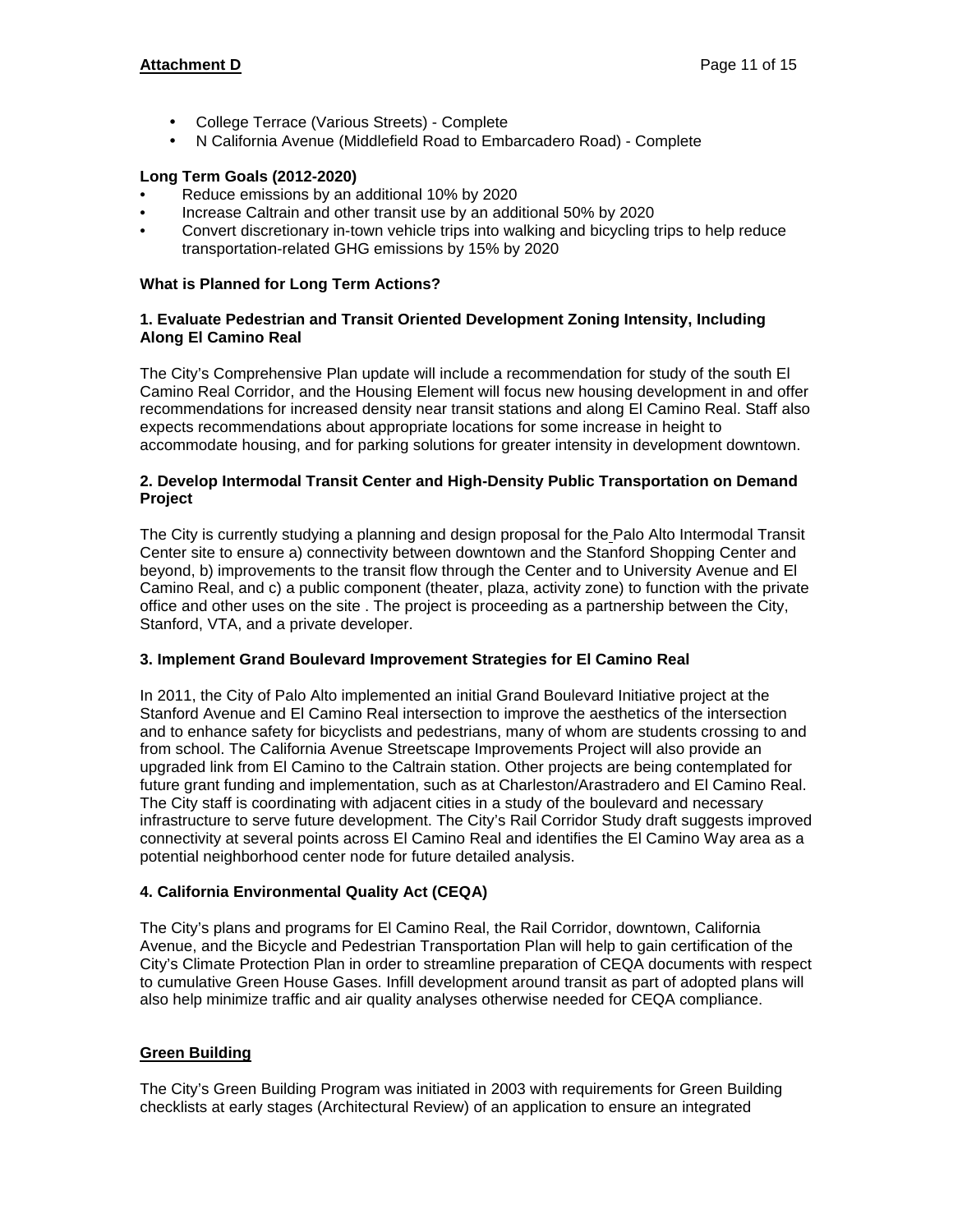## **Attachment D** Page 11 of 15

- College Terrace (Various Streets) Complete
- N California Avenue (Middlefield Road to Embarcadero Road) Complete

## **Long Term Goals (2012-2020)**

- Reduce emissions by an additional 10% by 2020
- Increase Caltrain and other transit use by an additional 50% by 2020
- Convert discretionary in-town vehicle trips into walking and bicycling trips to help reduce transportation-related GHG emissions by 15% by 2020

#### **What is Planned for Long Term Actions?**

#### **1. Evaluate Pedestrian and Transit Oriented Development Zoning Intensity, Including Along El Camino Real**

The City's Comprehensive Plan update will include a recommendation for study of the south El Camino Real Corridor, and the Housing Element will focus new housing development in and offer recommendations for increased density near transit stations and along El Camino Real. Staff also expects recommendations about appropriate locations for some increase in height to accommodate housing, and for parking solutions for greater intensity in development downtown.

#### **2. Develop Intermodal Transit Center and High-Density Public Transportation on Demand Project**

The City is currently studying a planning and design proposal for the Palo Alto Intermodal Transit Center site to ensure a) connectivity between downtown and the Stanford Shopping Center and beyond, b) improvements to the transit flow through the Center and to University Avenue and El Camino Real, and c) a public component (theater, plaza, activity zone) to function with the private office and other uses on the site . The project is proceeding as a partnership between the City, Stanford, VTA, and a private developer.

#### **3. Implement Grand Boulevard Improvement Strategies for El Camino Real**

In 2011, the City of Palo Alto implemented an initial Grand Boulevard Initiative project at the Stanford Avenue and El Camino Real intersection to improve the aesthetics of the intersection and to enhance safety for bicyclists and pedestrians, many of whom are students crossing to and from school. The California Avenue Streetscape Improvements Project will also provide an upgraded link from El Camino to the Caltrain station. Other projects are being contemplated for future grant funding and implementation, such as at Charleston/Arastradero and El Camino Real. The City staff is coordinating with adjacent cities in a study of the boulevard and necessary infrastructure to serve future development. The City's Rail Corridor Study draft suggests improved connectivity at several points across El Camino Real and identifies the El Camino Way area as a potential neighborhood center node for future detailed analysis.

#### **4. California Environmental Quality Act (CEQA)**

The City's plans and programs for El Camino Real, the Rail Corridor, downtown, California Avenue, and the Bicycle and Pedestrian Transportation Plan will help to gain certification of the City's Climate Protection Plan in order to streamline preparation of CEQA documents with respect to cumulative Green House Gases. Infill development around transit as part of adopted plans will also help minimize traffic and air quality analyses otherwise needed for CEQA compliance.

## **Green Building**

The City's Green Building Program was initiated in 2003 with requirements for Green Building checklists at early stages (Architectural Review) of an application to ensure an integrated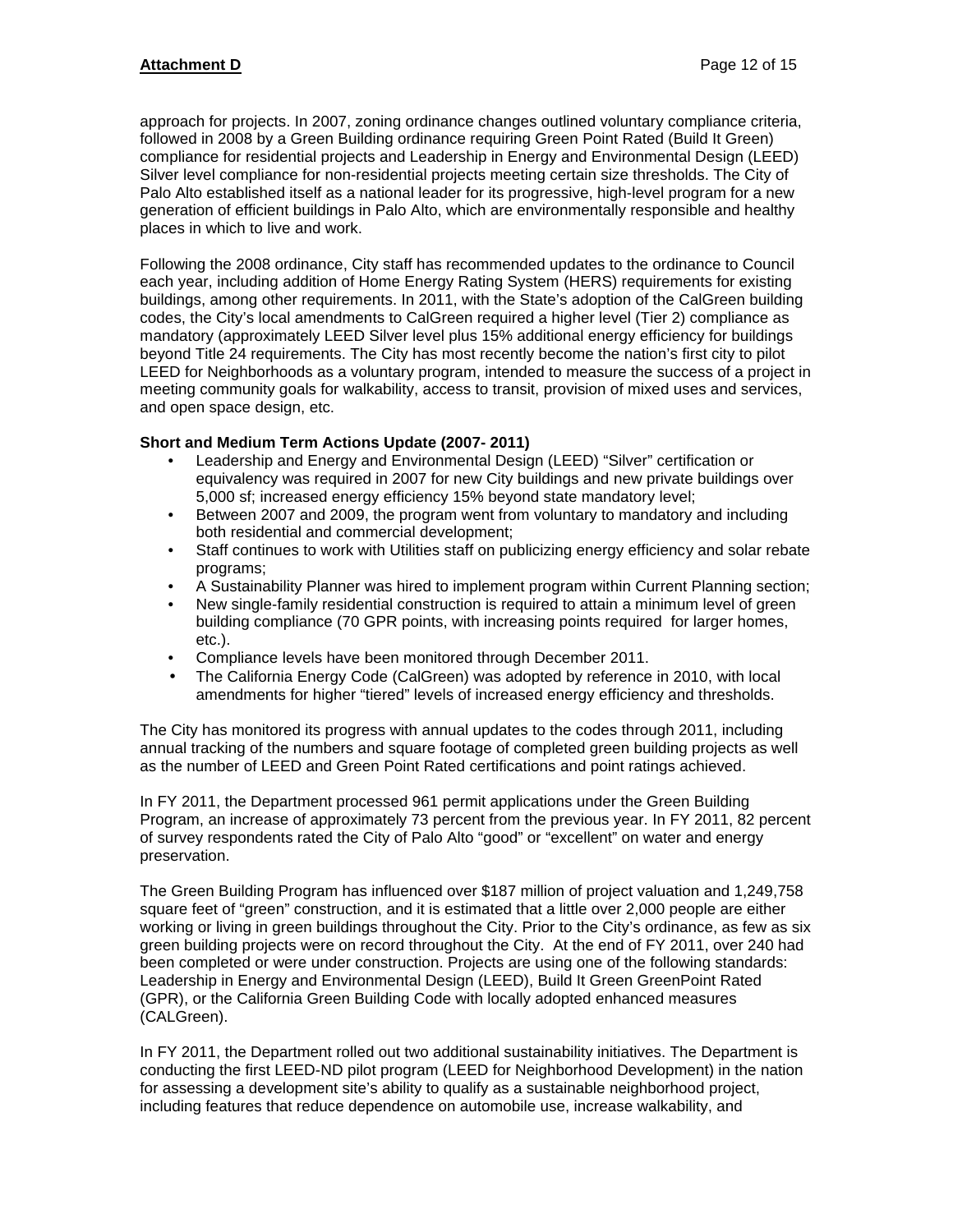approach for projects. In 2007, zoning ordinance changes outlined voluntary compliance criteria, followed in 2008 by a Green Building ordinance requiring Green Point Rated (Build It Green) compliance for residential projects and Leadership in Energy and Environmental Design (LEED) Silver level compliance for non-residential projects meeting certain size thresholds. The City of Palo Alto established itself as a national leader for its progressive, high-level program for a new generation of efficient buildings in Palo Alto, which are environmentally responsible and healthy places in which to live and work.

Following the 2008 ordinance, City staff has recommended updates to the ordinance to Council each year, including addition of Home Energy Rating System (HERS) requirements for existing buildings, among other requirements. In 2011, with the State's adoption of the CalGreen building codes, the City's local amendments to CalGreen required a higher level (Tier 2) compliance as mandatory (approximately LEED Silver level plus 15% additional energy efficiency for buildings beyond Title 24 requirements. The City has most recently become the nation's first city to pilot LEED for Neighborhoods as a voluntary program, intended to measure the success of a project in meeting community goals for walkability, access to transit, provision of mixed uses and services, and open space design, etc.

## **Short and Medium Term Actions Update (2007- 2011)**

- Leadership and Energy and Environmental Design (LEED) "Silver" certification or equivalency was required in 2007 for new City buildings and new private buildings over 5,000 sf; increased energy efficiency 15% beyond state mandatory level;
- Between 2007 and 2009, the program went from voluntary to mandatory and including both residential and commercial development;
- Staff continues to work with Utilities staff on publicizing energy efficiency and solar rebate programs;
- A Sustainability Planner was hired to implement program within Current Planning section;
- New single-family residential construction is required to attain a minimum level of green building compliance (70 GPR points, with increasing points required for larger homes, etc.).
- Compliance levels have been monitored through December 2011.
- The California Energy Code (CalGreen) was adopted by reference in 2010, with local amendments for higher "tiered" levels of increased energy efficiency and thresholds.

The City has monitored its progress with annual updates to the codes through 2011, including annual tracking of the numbers and square footage of completed green building projects as well as the number of LEED and Green Point Rated certifications and point ratings achieved.

In FY 2011, the Department processed 961 permit applications under the Green Building Program, an increase of approximately 73 percent from the previous year. In FY 2011, 82 percent of survey respondents rated the City of Palo Alto "good" or "excellent" on water and energy preservation.

The Green Building Program has influenced over \$187 million of project valuation and 1,249,758 square feet of "green" construction, and it is estimated that a little over 2,000 people are either working or living in green buildings throughout the City. Prior to the City's ordinance, as few as six green building projects were on record throughout the City. At the end of FY 2011, over 240 had been completed or were under construction. Projects are using one of the following standards: Leadership in Energy and Environmental Design (LEED), Build It Green GreenPoint Rated (GPR), or the California Green Building Code with locally adopted enhanced measures (CALGreen).

In FY 2011, the Department rolled out two additional sustainability initiatives. The Department is conducting the first LEED-ND pilot program (LEED for Neighborhood Development) in the nation for assessing a development site's ability to qualify as a sustainable neighborhood project, including features that reduce dependence on automobile use, increase walkability, and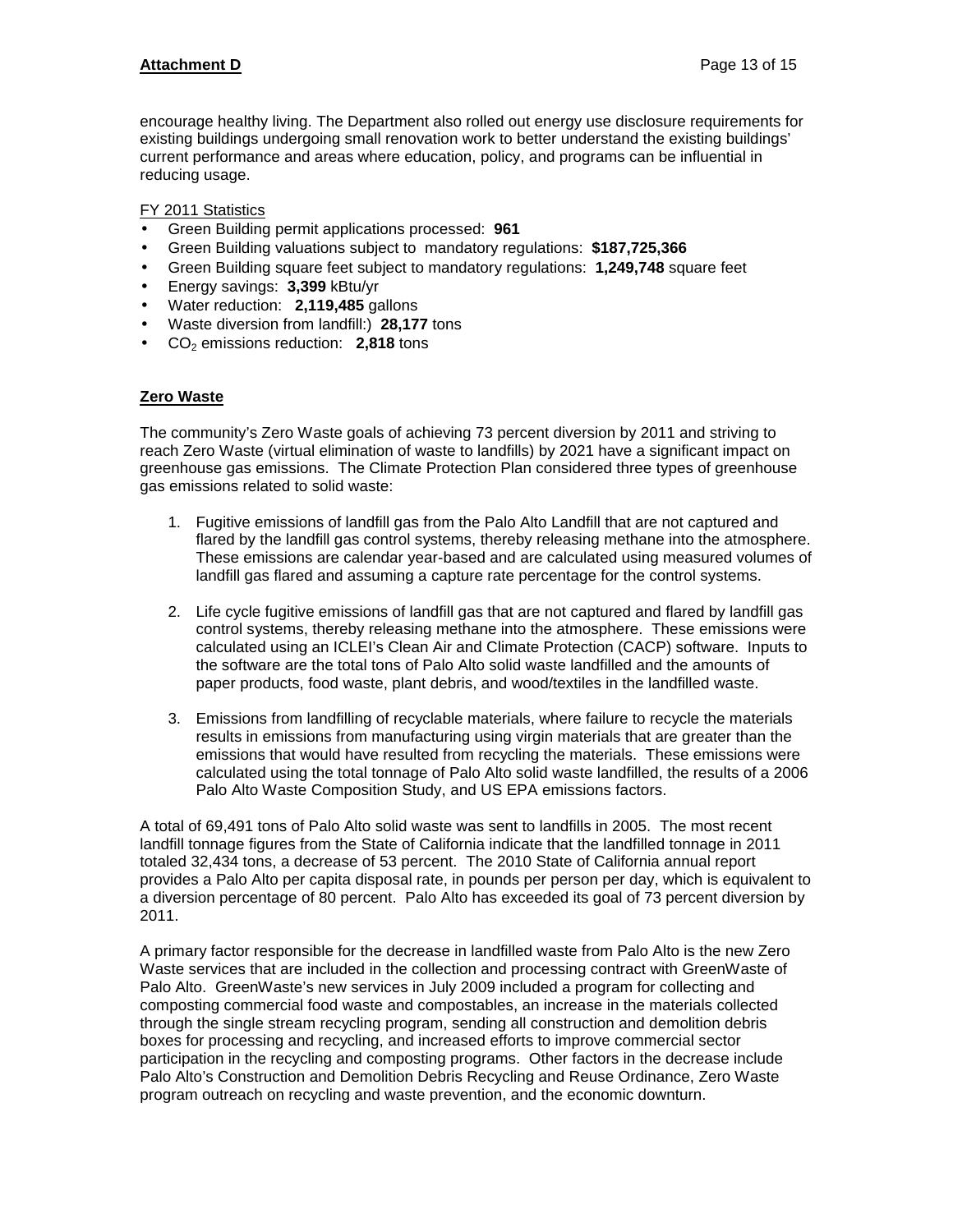## **Attachment D** Page 13 of 15

encourage healthy living. The Department also rolled out energy use disclosure requirements for existing buildings undergoing small renovation work to better understand the existing buildings' current performance and areas where education, policy, and programs can be influential in reducing usage.

#### FY 2011 Statistics

- Green Building permit applications processed: **961**
- Green Building valuations subject to mandatory regulations: **\$187,725,366**
- Green Building square feet subject to mandatory regulations: **1,249,748** square feet
- Energy savings: **3,399** kBtu/yr
- Water reduction: **2,119,485** gallons
- Waste diversion from landfill:) **28,177** tons
- CO<sub>2</sub> emissions reduction: **2,818** tons

#### **Zero Waste**

The community's Zero Waste goals of achieving 73 percent diversion by 2011 and striving to reach Zero Waste (virtual elimination of waste to landfills) by 2021 have a significant impact on greenhouse gas emissions. The Climate Protection Plan considered three types of greenhouse gas emissions related to solid waste:

- 1. Fugitive emissions of landfill gas from the Palo Alto Landfill that are not captured and flared by the landfill gas control systems, thereby releasing methane into the atmosphere. These emissions are calendar year-based and are calculated using measured volumes of landfill gas flared and assuming a capture rate percentage for the control systems.
- 2. Life cycle fugitive emissions of landfill gas that are not captured and flared by landfill gas control systems, thereby releasing methane into the atmosphere. These emissions were calculated using an ICLEI's Clean Air and Climate Protection (CACP) software. Inputs to the software are the total tons of Palo Alto solid waste landfilled and the amounts of paper products, food waste, plant debris, and wood/textiles in the landfilled waste.
- 3. Emissions from landfilling of recyclable materials, where failure to recycle the materials results in emissions from manufacturing using virgin materials that are greater than the emissions that would have resulted from recycling the materials. These emissions were calculated using the total tonnage of Palo Alto solid waste landfilled, the results of a 2006 Palo Alto Waste Composition Study, and US EPA emissions factors.

A total of 69,491 tons of Palo Alto solid waste was sent to landfills in 2005. The most recent landfill tonnage figures from the State of California indicate that the landfilled tonnage in 2011 totaled 32,434 tons, a decrease of 53 percent. The 2010 State of California annual report provides a Palo Alto per capita disposal rate, in pounds per person per day, which is equivalent to a diversion percentage of 80 percent. Palo Alto has exceeded its goal of 73 percent diversion by 2011.

A primary factor responsible for the decrease in landfilled waste from Palo Alto is the new Zero Waste services that are included in the collection and processing contract with GreenWaste of Palo Alto. GreenWaste's new services in July 2009 included a program for collecting and composting commercial food waste and compostables, an increase in the materials collected through the single stream recycling program, sending all construction and demolition debris boxes for processing and recycling, and increased efforts to improve commercial sector participation in the recycling and composting programs. Other factors in the decrease include Palo Alto's Construction and Demolition Debris Recycling and Reuse Ordinance, Zero Waste program outreach on recycling and waste prevention, and the economic downturn.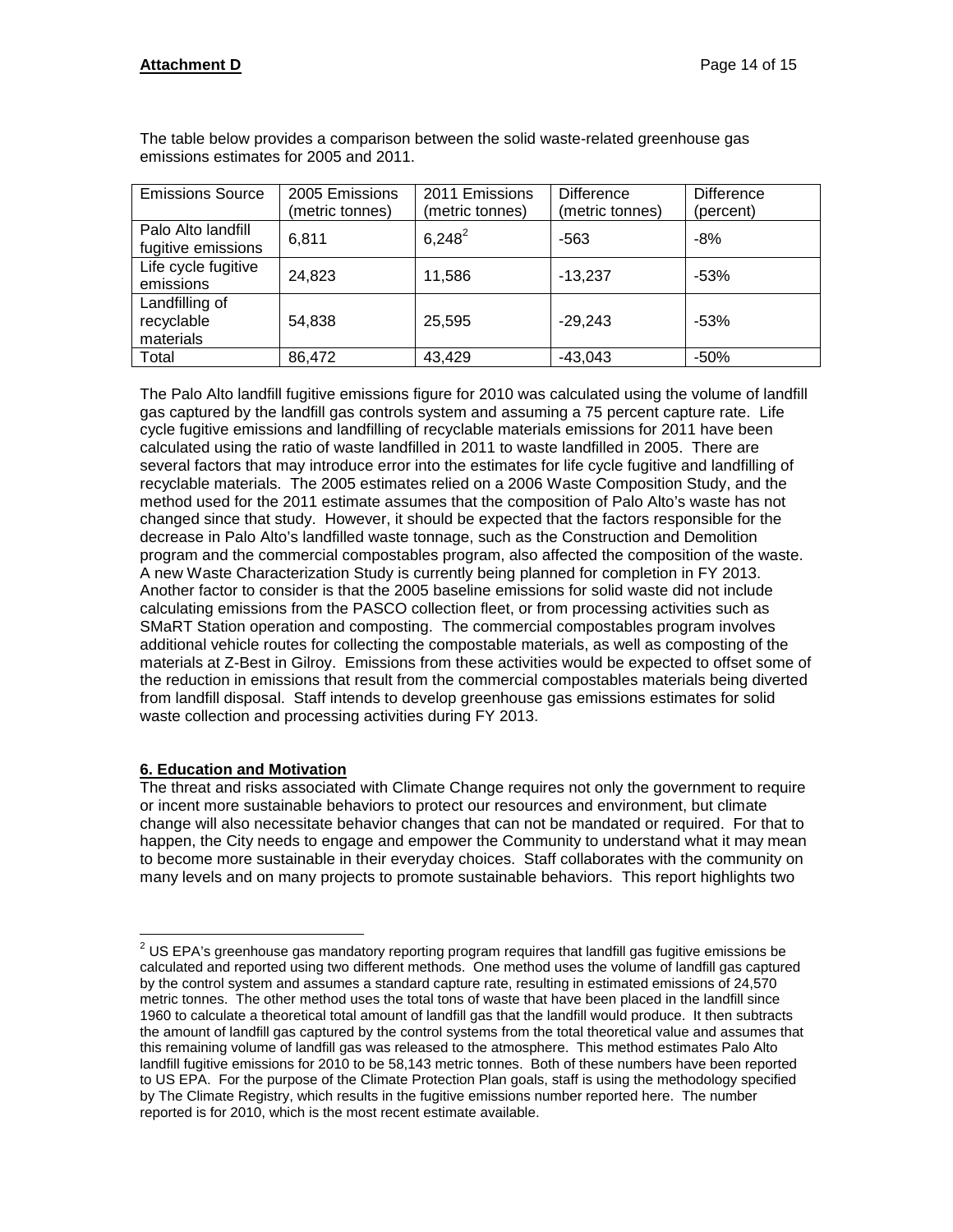| <b>Emissions Source</b>                   | 2005 Emissions<br>(metric tonnes) | 2011 Emissions<br>(metric tonnes) | <b>Difference</b><br>(metric tonnes) | <b>Difference</b><br>(percent) |
|-------------------------------------------|-----------------------------------|-----------------------------------|--------------------------------------|--------------------------------|
| Palo Alto landfill<br>fugitive emissions  | 6,811                             | $6,248^2$                         | $-563$                               | $-8%$                          |
| Life cycle fugitive<br>emissions          | 24,823                            | 11,586                            | $-13,237$                            | $-53%$                         |
| Landfilling of<br>recyclable<br>materials | 54,838                            | 25,595                            | $-29,243$                            | $-53%$                         |
| Total                                     | 86,472                            | 43,429                            | $-43,043$                            | $-50%$                         |

The table below provides a comparison between the solid waste-related greenhouse gas emissions estimates for 2005 and 2011.

The Palo Alto landfill fugitive emissions figure for 2010 was calculated using the volume of landfill gas captured by the landfill gas controls system and assuming a 75 percent capture rate. Life cycle fugitive emissions and landfilling of recyclable materials emissions for 2011 have been calculated using the ratio of waste landfilled in 2011 to waste landfilled in 2005. There are several factors that may introduce error into the estimates for life cycle fugitive and landfilling of recyclable materials. The 2005 estimates relied on a 2006 Waste Composition Study, and the method used for the 2011 estimate assumes that the composition of Palo Alto's waste has not changed since that study. However, it should be expected that the factors responsible for the decrease in Palo Alto's landfilled waste tonnage, such as the Construction and Demolition program and the commercial compostables program, also affected the composition of the waste. A new Waste Characterization Study is currently being planned for completion in FY 2013. Another factor to consider is that the 2005 baseline emissions for solid waste did not include calculating emissions from the PASCO collection fleet, or from processing activities such as SMaRT Station operation and composting. The commercial compostables program involves additional vehicle routes for collecting the compostable materials, as well as composting of the materials at Z-Best in Gilroy. Emissions from these activities would be expected to offset some of the reduction in emissions that result from the commercial compostables materials being diverted from landfill disposal. Staff intends to develop greenhouse gas emissions estimates for solid waste collection and processing activities during FY 2013.

## **6. Education and Motivation**

The threat and risks associated with Climate Change requires not only the government to require or incent more sustainable behaviors to protect our resources and environment, but climate change will also necessitate behavior changes that can not be mandated or required. For that to happen, the City needs to engage and empower the Community to understand what it may mean to become more sustainable in their everyday choices. Staff collaborates with the community on many levels and on many projects to promote sustainable behaviors. This report highlights two

 $\overline{a}$  $^{2}$  US EPA's greenhouse gas mandatory reporting program requires that landfill gas fugitive emissions be calculated and reported using two different methods. One method uses the volume of landfill gas captured by the control system and assumes a standard capture rate, resulting in estimated emissions of 24,570 metric tonnes. The other method uses the total tons of waste that have been placed in the landfill since 1960 to calculate a theoretical total amount of landfill gas that the landfill would produce. It then subtracts the amount of landfill gas captured by the control systems from the total theoretical value and assumes that this remaining volume of landfill gas was released to the atmosphere. This method estimates Palo Alto landfill fugitive emissions for 2010 to be 58,143 metric tonnes. Both of these numbers have been reported to US EPA. For the purpose of the Climate Protection Plan goals, staff is using the methodology specified by The Climate Registry, which results in the fugitive emissions number reported here. The number reported is for 2010, which is the most recent estimate available.